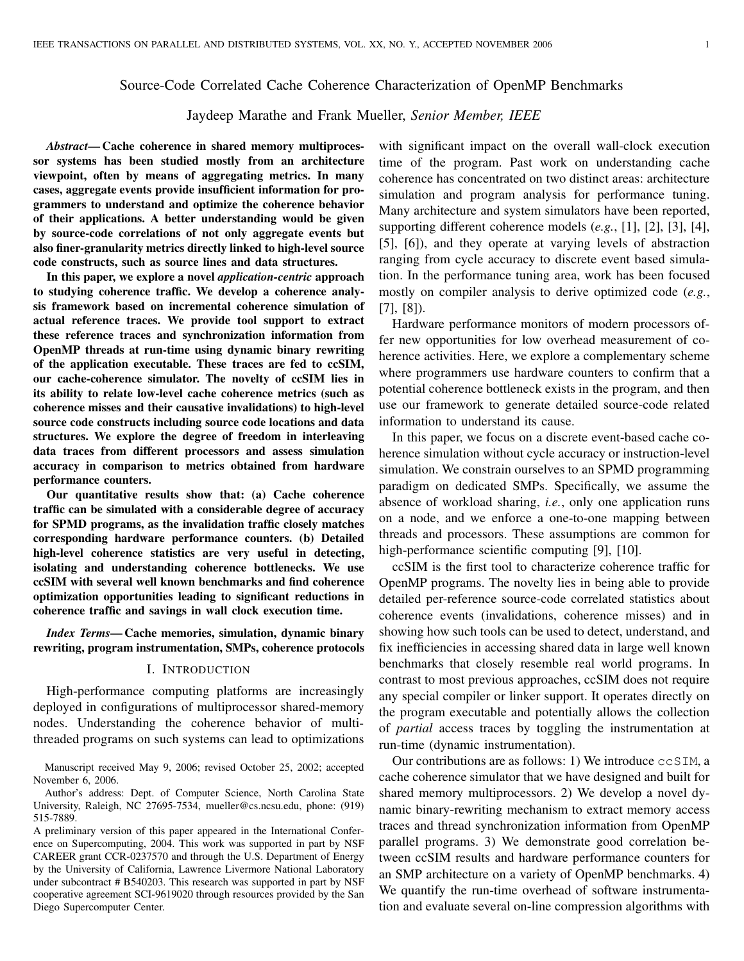## Source-Code Correlated Cache Coherence Characterization of OpenMP Benchmarks

## Jaydeep Marathe and Frank Mueller, *Senior Member, IEEE*

*Abstract***— Cache coherence in shared memory multiprocessor systems has been studied mostly from an architecture viewpoint, often by means of aggregating metrics. In many cases, aggregate events provide insufficient information for programmers to understand and optimize the coherence behavior of their applications. A better understanding would be given by source-code correlations of not only aggregate events but also finer-granularity metrics directly linked to high-level source code constructs, such as source lines and data structures.**

**In this paper, we explore a novel** *application-centric* **approach to studying coherence traffic. We develop a coherence analysis framework based on incremental coherence simulation of actual reference traces. We provide tool support to extract these reference traces and synchronization information from OpenMP threads at run-time using dynamic binary rewriting of the application executable. These traces are fed to ccSIM, our cache-coherence simulator. The novelty of ccSIM lies in its ability to relate low-level cache coherence metrics (such as coherence misses and their causative invalidations) to high-level source code constructs including source code locations and data structures. We explore the degree of freedom in interleaving data traces from different processors and assess simulation accuracy in comparison to metrics obtained from hardware performance counters.**

**Our quantitative results show that: (a) Cache coherence traffic can be simulated with a considerable degree of accuracy for SPMD programs, as the invalidation traffic closely matches corresponding hardware performance counters. (b) Detailed high-level coherence statistics are very useful in detecting, isolating and understanding coherence bottlenecks. We use ccSIM with several well known benchmarks and find coherence optimization opportunities leading to significant reductions in coherence traffic and savings in wall clock execution time.**

*Index Terms***— Cache memories, simulation, dynamic binary rewriting, program instrumentation, SMPs, coherence protocols**

#### I. INTRODUCTION

High-performance computing platforms are increasingly deployed in configurations of multiprocessor shared-memory nodes. Understanding the coherence behavior of multithreaded programs on such systems can lead to optimizations

Manuscript received May 9, 2006; revised October 25, 2002; accepted November 6, 2006.

Author's address: Dept. of Computer Science, North Carolina State University, Raleigh, NC 27695-7534, mueller@cs.ncsu.edu, phone: (919) 515-7889.

A preliminary version of this paper appeared in the International Conference on Supercomputing, 2004. This work was supported in part by NSF CAREER grant CCR-0237570 and through the U.S. Department of Energy by the University of California, Lawrence Livermore National Laboratory under subcontract # B540203. This research was supported in part by NSF cooperative agreement SCI-9619020 through resources provided by the San Diego Supercomputer Center.

with significant impact on the overall wall-clock execution time of the program. Past work on understanding cache coherence has concentrated on two distinct areas: architecture simulation and program analysis for performance tuning. Many architecture and system simulators have been reported, supporting different coherence models (*e.g.*, [1], [2], [3], [4], [5], [6]), and they operate at varying levels of abstraction ranging from cycle accuracy to discrete event based simulation. In the performance tuning area, work has been focused mostly on compiler analysis to derive optimized code (*e.g.*, [7], [8]).

Hardware performance monitors of modern processors offer new opportunities for low overhead measurement of coherence activities. Here, we explore a complementary scheme where programmers use hardware counters to confirm that a potential coherence bottleneck exists in the program, and then use our framework to generate detailed source-code related information to understand its cause.

In this paper, we focus on a discrete event-based cache coherence simulation without cycle accuracy or instruction-level simulation. We constrain ourselves to an SPMD programming paradigm on dedicated SMPs. Specifically, we assume the absence of workload sharing, *i.e.*, only one application runs on a node, and we enforce a one-to-one mapping between threads and processors. These assumptions are common for high-performance scientific computing [9], [10].

ccSIM is the first tool to characterize coherence traffic for OpenMP programs. The novelty lies in being able to provide detailed per-reference source-code correlated statistics about coherence events (invalidations, coherence misses) and in showing how such tools can be used to detect, understand, and fix inefficiencies in accessing shared data in large well known benchmarks that closely resemble real world programs. In contrast to most previous approaches, ccSIM does not require any special compiler or linker support. It operates directly on the program executable and potentially allows the collection of *partial* access traces by toggling the instrumentation at run-time (dynamic instrumentation).

Our contributions are as follows: 1) We introduce  $ccSIM$ , a cache coherence simulator that we have designed and built for shared memory multiprocessors. 2) We develop a novel dynamic binary-rewriting mechanism to extract memory access traces and thread synchronization information from OpenMP parallel programs. 3) We demonstrate good correlation between ccSIM results and hardware performance counters for an SMP architecture on a variety of OpenMP benchmarks. 4) We quantify the run-time overhead of software instrumentation and evaluate several on-line compression algorithms with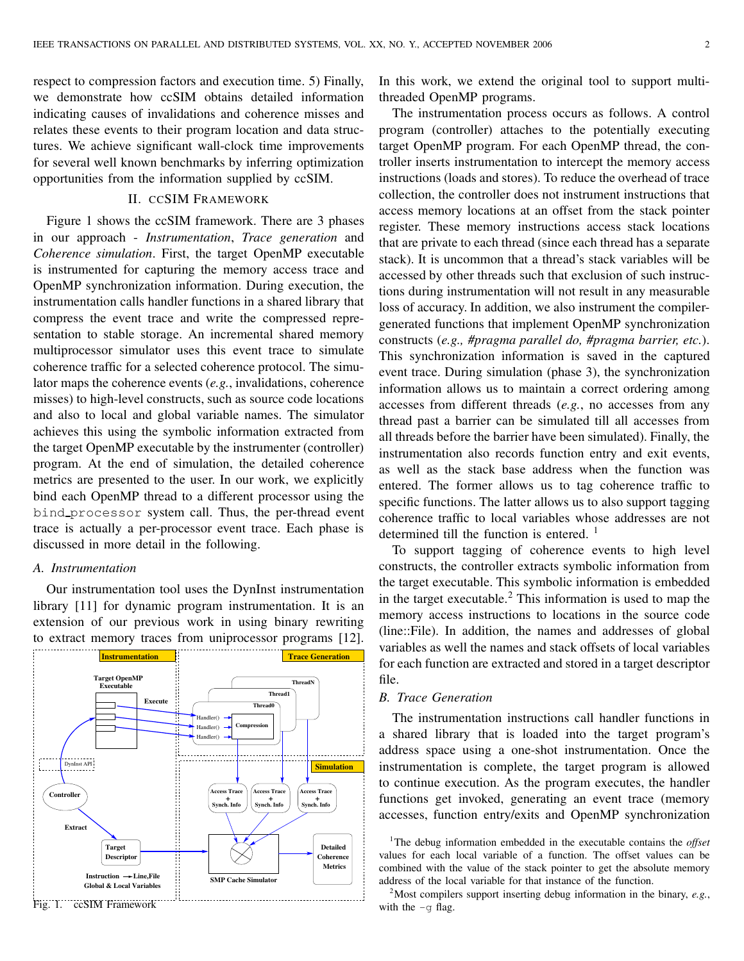respect to compression factors and execution time. 5) Finally, we demonstrate how ccSIM obtains detailed information indicating causes of invalidations and coherence misses and relates these events to their program location and data structures. We achieve significant wall-clock time improvements for several well known benchmarks by inferring optimization opportunities from the information supplied by ccSIM.

# II. CCSIM FRAMEWORK

Figure 1 shows the ccSIM framework. There are 3 phases in our approach - *Instrumentation*, *Trace generation* and *Coherence simulation*. First, the target OpenMP executable is instrumented for capturing the memory access trace and OpenMP synchronization information. During execution, the instrumentation calls handler functions in a shared library that compress the event trace and write the compressed representation to stable storage. An incremental shared memory multiprocessor simulator uses this event trace to simulate coherence traffic for a selected coherence protocol. The simulator maps the coherence events (*e.g.*, invalidations, coherence misses) to high-level constructs, such as source code locations and also to local and global variable names. The simulator achieves this using the symbolic information extracted from the target OpenMP executable by the instrumenter (controller) program. At the end of simulation, the detailed coherence metrics are presented to the user. In our work, we explicitly bind each OpenMP thread to a different processor using the bind processor system call. Thus, the per-thread event trace is actually a per-processor event trace. Each phase is discussed in more detail in the following.

#### *A. Instrumentation*

Our instrumentation tool uses the DynInst instrumentation library [11] for dynamic program instrumentation. It is an extension of our previous work in using binary rewriting to extract memory traces from uniprocessor programs [12].



In this work, we extend the original tool to support multithreaded OpenMP programs.

The instrumentation process occurs as follows. A control program (controller) attaches to the potentially executing target OpenMP program. For each OpenMP thread, the controller inserts instrumentation to intercept the memory access instructions (loads and stores). To reduce the overhead of trace collection, the controller does not instrument instructions that access memory locations at an offset from the stack pointer register. These memory instructions access stack locations that are private to each thread (since each thread has a separate stack). It is uncommon that a thread's stack variables will be accessed by other threads such that exclusion of such instructions during instrumentation will not result in any measurable loss of accuracy. In addition, we also instrument the compilergenerated functions that implement OpenMP synchronization constructs (*e.g., #pragma parallel do, #pragma barrier, etc.*). This synchronization information is saved in the captured event trace. During simulation (phase 3), the synchronization information allows us to maintain a correct ordering among accesses from different threads (*e.g.*, no accesses from any thread past a barrier can be simulated till all accesses from all threads before the barrier have been simulated). Finally, the instrumentation also records function entry and exit events, as well as the stack base address when the function was entered. The former allows us to tag coherence traffic to specific functions. The latter allows us to also support tagging coherence traffic to local variables whose addresses are not determined till the function is entered.<sup>1</sup>

To support tagging of coherence events to high level constructs, the controller extracts symbolic information from the target executable. This symbolic information is embedded in the target executable. $2$  This information is used to map the memory access instructions to locations in the source code (line::File). In addition, the names and addresses of global variables as well the names and stack offsets of local variables for each function are extracted and stored in a target descriptor file.

# *B. Trace Generation*

The instrumentation instructions call handler functions in a shared library that is loaded into the target program's address space using a one-shot instrumentation. Once the instrumentation is complete, the target program is allowed to continue execution. As the program executes, the handler functions get invoked, generating an event trace (memory accesses, function entry/exits and OpenMP synchronization

<sup>1</sup>The debug information embedded in the executable contains the *offset* values for each local variable of a function. The offset values can be combined with the value of the stack pointer to get the absolute memory address of the local variable for that instance of the function.

<sup>2</sup>Most compilers support inserting debug information in the binary, *e.g.*, with the  $-g$  flag.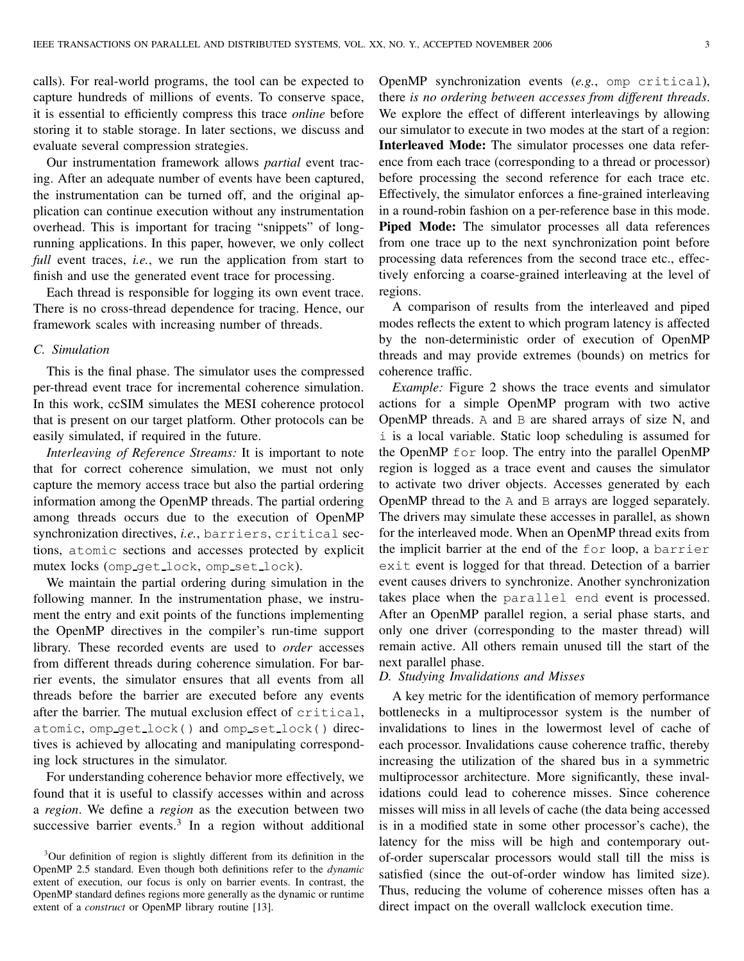calls). For real-world programs, the tool can be expected to capture hundreds of millions of events. To conserve space, it is essential to efficiently compress this trace *online* before storing it to stable storage. In later sections, we discuss and evaluate several compression strategies.

Our instrumentation framework allows *partial* event tracing. After an adequate number of events have been captured, the instrumentation can be turned off, and the original application can continue execution without any instrumentation overhead. This is important for tracing "snippets" of longrunning applications. In this paper, however, we only collect *full* event traces, *i.e.*, we run the application from start to finish and use the generated event trace for processing.

Each thread is responsible for logging its own event trace. There is no cross-thread dependence for tracing. Hence, our framework scales with increasing number of threads.

# *C. Simulation*

This is the final phase. The simulator uses the compressed per-thread event trace for incremental coherence simulation. In this work, ccSIM simulates the MESI coherence protocol that is present on our target platform. Other protocols can be easily simulated, if required in the future.

*Interleaving of Reference Streams:* It is important to note that for correct coherence simulation, we must not only capture the memory access trace but also the partial ordering information among the OpenMP threads. The partial ordering among threads occurs due to the execution of OpenMP synchronization directives, *i.e.*, barriers, critical sections, atomic sections and accesses protected by explicit mutex locks (omp get lock, omp set lock).

We maintain the partial ordering during simulation in the following manner. In the instrumentation phase, we instrument the entry and exit points of the functions implementing the OpenMP directives in the compiler's run-time support library. These recorded events are used to *order* accesses from different threads during coherence simulation. For barrier events, the simulator ensures that all events from all threads before the barrier are executed before any events after the barrier. The mutual exclusion effect of critical, atomic, omp get lock() and omp set lock() directives is achieved by allocating and manipulating corresponding lock structures in the simulator.

For understanding coherence behavior more effectively, we found that it is useful to classify accesses within and across a *region*. We define a *region* as the execution between two successive barrier events. $3$  In a region without additional

OpenMP synchronization events (*e.g.*, omp critical), there *is no ordering between accesses from different threads*. We explore the effect of different interleavings by allowing our simulator to execute in two modes at the start of a region: **Interleaved Mode:** The simulator processes one data reference from each trace (corresponding to a thread or processor) before processing the second reference for each trace etc. Effectively, the simulator enforces a fine-grained interleaving in a round-robin fashion on a per-reference base in this mode. **Piped Mode:** The simulator processes all data references from one trace up to the next synchronization point before processing data references from the second trace etc., effectively enforcing a coarse-grained interleaving at the level of regions.

A comparison of results from the interleaved and piped modes reflects the extent to which program latency is affected by the non-deterministic order of execution of OpenMP threads and may provide extremes (bounds) on metrics for coherence traffic.

*Example:* Figure 2 shows the trace events and simulator actions for a simple OpenMP program with two active OpenMP threads. A and B are shared arrays of size N, and i is a local variable. Static loop scheduling is assumed for the OpenMP for loop. The entry into the parallel OpenMP region is logged as a trace event and causes the simulator to activate two driver objects. Accesses generated by each OpenMP thread to the A and B arrays are logged separately. The drivers may simulate these accesses in parallel, as shown for the interleaved mode. When an OpenMP thread exits from the implicit barrier at the end of the for loop, a barrier exit event is logged for that thread. Detection of a barrier event causes drivers to synchronize. Another synchronization takes place when the parallel end event is processed. After an OpenMP parallel region, a serial phase starts, and only one driver (corresponding to the master thread) will remain active. All others remain unused till the start of the next parallel phase.

### *D. Studying Invalidations and Misses*

A key metric for the identification of memory performance bottlenecks in a multiprocessor system is the number of invalidations to lines in the lowermost level of cache of each processor. Invalidations cause coherence traffic, thereby increasing the utilization of the shared bus in a symmetric multiprocessor architecture. More significantly, these invalidations could lead to coherence misses. Since coherence misses will miss in all levels of cache (the data being accessed is in a modified state in some other processor's cache), the latency for the miss will be high and contemporary outof-order superscalar processors would stall till the miss is satisfied (since the out-of-order window has limited size). Thus, reducing the volume of coherence misses often has a direct impact on the overall wallclock execution time.

<sup>&</sup>lt;sup>3</sup>Our definition of region is slightly different from its definition in the OpenMP 2.5 standard. Even though both definitions refer to the *dynamic* extent of execution, our focus is only on barrier events. In contrast, the OpenMP standard defines regions more generally as the dynamic or runtime extent of a *construct* or OpenMP library routine [13].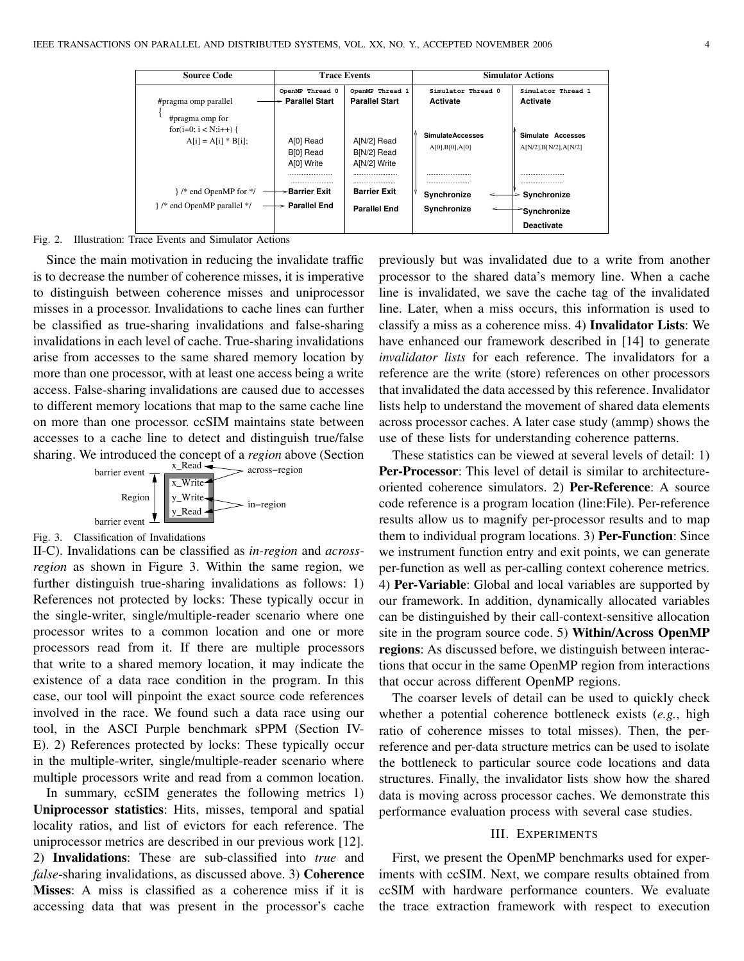

Fig. 2. Illustration: Trace Events and Simulator Actions

Since the main motivation in reducing the invalidate traffic is to decrease the number of coherence misses, it is imperative to distinguish between coherence misses and uniprocessor misses in a processor. Invalidations to cache lines can further be classified as true-sharing invalidations and false-sharing invalidations in each level of cache. True-sharing invalidations arise from accesses to the same shared memory location by more than one processor, with at least one access being a write access. False-sharing invalidations are caused due to accesses to different memory locations that map to the same cache line on more than one processor. ccSIM maintains state between accesses to a cache line to detect and distinguish true/false sharing. We introduced the concept of a *region* above (Section



#### Fig. 3. Classification of Invalidations

II-C). Invalidations can be classified as *in-region* and *acrossregion* as shown in Figure 3. Within the same region, we further distinguish true-sharing invalidations as follows: 1) References not protected by locks: These typically occur in the single-writer, single/multiple-reader scenario where one processor writes to a common location and one or more processors read from it. If there are multiple processors that write to a shared memory location, it may indicate the existence of a data race condition in the program. In this case, our tool will pinpoint the exact source code references involved in the race. We found such a data race using our tool, in the ASCI Purple benchmark sPPM (Section IV-E). 2) References protected by locks: These typically occur in the multiple-writer, single/multiple-reader scenario where multiple processors write and read from a common location.

In summary, ccSIM generates the following metrics 1) **Uniprocessor statistics**: Hits, misses, temporal and spatial locality ratios, and list of evictors for each reference. The uniprocessor metrics are described in our previous work [12]. 2) **Invalidations**: These are sub-classified into *true* and *false*-sharing invalidations, as discussed above. 3) **Coherence Misses**: A miss is classified as a coherence miss if it is accessing data that was present in the processor's cache

previously but was invalidated due to a write from another processor to the shared data's memory line. When a cache line is invalidated, we save the cache tag of the invalidated line. Later, when a miss occurs, this information is used to classify a miss as a coherence miss. 4) **Invalidator Lists**: We have enhanced our framework described in [14] to generate *invalidator lists* for each reference. The invalidators for a reference are the write (store) references on other processors that invalidated the data accessed by this reference. Invalidator lists help to understand the movement of shared data elements across processor caches. A later case study (ammp) shows the use of these lists for understanding coherence patterns.

These statistics can be viewed at several levels of detail: 1) **Per-Processor**: This level of detail is similar to architectureoriented coherence simulators. 2) **Per-Reference**: A source code reference is a program location (line:File). Per-reference results allow us to magnify per-processor results and to map them to individual program locations. 3) **Per-Function**: Since we instrument function entry and exit points, we can generate per-function as well as per-calling context coherence metrics. 4) **Per-Variable**: Global and local variables are supported by our framework. In addition, dynamically allocated variables can be distinguished by their call-context-sensitive allocation site in the program source code. 5) **Within/Across OpenMP regions**: As discussed before, we distinguish between interactions that occur in the same OpenMP region from interactions that occur across different OpenMP regions.

The coarser levels of detail can be used to quickly check whether a potential coherence bottleneck exists (*e.g.*, high ratio of coherence misses to total misses). Then, the perreference and per-data structure metrics can be used to isolate the bottleneck to particular source code locations and data structures. Finally, the invalidator lists show how the shared data is moving across processor caches. We demonstrate this performance evaluation process with several case studies.

## III. EXPERIMENTS

First, we present the OpenMP benchmarks used for experiments with ccSIM. Next, we compare results obtained from ccSIM with hardware performance counters. We evaluate the trace extraction framework with respect to execution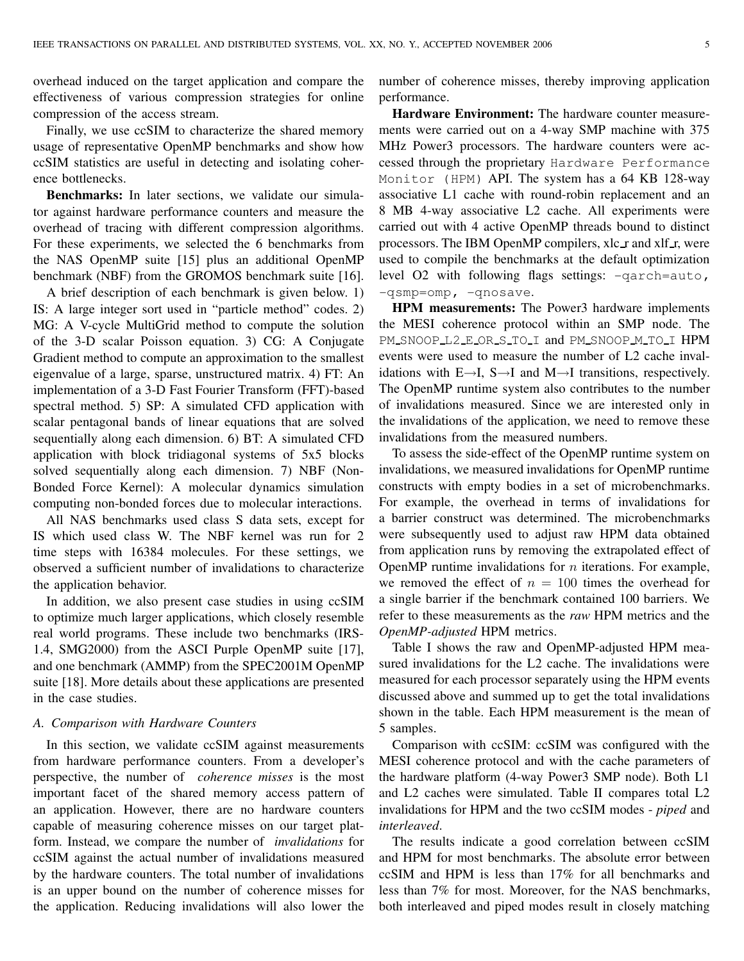overhead induced on the target application and compare the effectiveness of various compression strategies for online compression of the access stream.

Finally, we use ccSIM to characterize the shared memory usage of representative OpenMP benchmarks and show how ccSIM statistics are useful in detecting and isolating coherence bottlenecks.

**Benchmarks:** In later sections, we validate our simulator against hardware performance counters and measure the overhead of tracing with different compression algorithms. For these experiments, we selected the 6 benchmarks from the NAS OpenMP suite [15] plus an additional OpenMP benchmark (NBF) from the GROMOS benchmark suite [16].

A brief description of each benchmark is given below. 1) IS: A large integer sort used in "particle method" codes. 2) MG: A V-cycle MultiGrid method to compute the solution of the 3-D scalar Poisson equation. 3) CG: A Conjugate Gradient method to compute an approximation to the smallest eigenvalue of a large, sparse, unstructured matrix. 4) FT: An implementation of a 3-D Fast Fourier Transform (FFT)-based spectral method. 5) SP: A simulated CFD application with scalar pentagonal bands of linear equations that are solved sequentially along each dimension. 6) BT: A simulated CFD application with block tridiagonal systems of 5x5 blocks solved sequentially along each dimension. 7) NBF (Non-Bonded Force Kernel): A molecular dynamics simulation computing non-bonded forces due to molecular interactions.

All NAS benchmarks used class S data sets, except for IS which used class W. The NBF kernel was run for 2 time steps with 16384 molecules. For these settings, we observed a sufficient number of invalidations to characterize the application behavior.

In addition, we also present case studies in using ccSIM to optimize much larger applications, which closely resemble real world programs. These include two benchmarks (IRS-1.4, SMG2000) from the ASCI Purple OpenMP suite [17], and one benchmark (AMMP) from the SPEC2001M OpenMP suite [18]. More details about these applications are presented in the case studies.

#### *A. Comparison with Hardware Counters*

In this section, we validate ccSIM against measurements from hardware performance counters. From a developer's perspective, the number of *coherence misses* is the most important facet of the shared memory access pattern of an application. However, there are no hardware counters capable of measuring coherence misses on our target platform. Instead, we compare the number of *invalidations* for ccSIM against the actual number of invalidations measured by the hardware counters. The total number of invalidations is an upper bound on the number of coherence misses for the application. Reducing invalidations will also lower the

number of coherence misses, thereby improving application performance.

**Hardware Environment:** The hardware counter measurements were carried out on a 4-way SMP machine with 375 MHz Power3 processors. The hardware counters were accessed through the proprietary Hardware Performance Monitor (HPM) API. The system has a 64 KB 128-way associative L1 cache with round-robin replacement and an 8 MB 4-way associative L2 cache. All experiments were carried out with 4 active OpenMP threads bound to distinct processors. The IBM OpenMP compilers, xlc\_r and xlf\_r, were used to compile the benchmarks at the default optimization level O2 with following flags settings: -qarch=auto, -qsmp=omp, -qnosave.

**HPM measurements:** The Power3 hardware implements the MESI coherence protocol within an SMP node. The PM\_SNOOP\_L2\_E\_OR\_S\_TO\_I and PM\_SNOOP\_M\_TO\_I HPM events were used to measure the number of L2 cache invalidations with  $E \rightarrow I$ ,  $S \rightarrow I$  and  $M \rightarrow I$  transitions, respectively. The OpenMP runtime system also contributes to the number of invalidations measured. Since we are interested only in the invalidations of the application, we need to remove these invalidations from the measured numbers.

To assess the side-effect of the OpenMP runtime system on invalidations, we measured invalidations for OpenMP runtime constructs with empty bodies in a set of microbenchmarks. For example, the overhead in terms of invalidations for a barrier construct was determined. The microbenchmarks were subsequently used to adjust raw HPM data obtained from application runs by removing the extrapolated effect of OpenMP runtime invalidations for  $n$  iterations. For example, we removed the effect of  $n = 100$  times the overhead for a single barrier if the benchmark contained 100 barriers. We refer to these measurements as the *raw* HPM metrics and the *OpenMP-adjusted* HPM metrics.

Table I shows the raw and OpenMP-adjusted HPM measured invalidations for the L2 cache. The invalidations were measured for each processor separately using the HPM events discussed above and summed up to get the total invalidations shown in the table. Each HPM measurement is the mean of 5 samples.

Comparison with ccSIM: ccSIM was configured with the MESI coherence protocol and with the cache parameters of the hardware platform (4-way Power3 SMP node). Both L1 and L2 caches were simulated. Table II compares total L2 invalidations for HPM and the two ccSIM modes - *piped* and *interleaved*.

The results indicate a good correlation between ccSIM and HPM for most benchmarks. The absolute error between ccSIM and HPM is less than 17% for all benchmarks and less than 7% for most. Moreover, for the NAS benchmarks, both interleaved and piped modes result in closely matching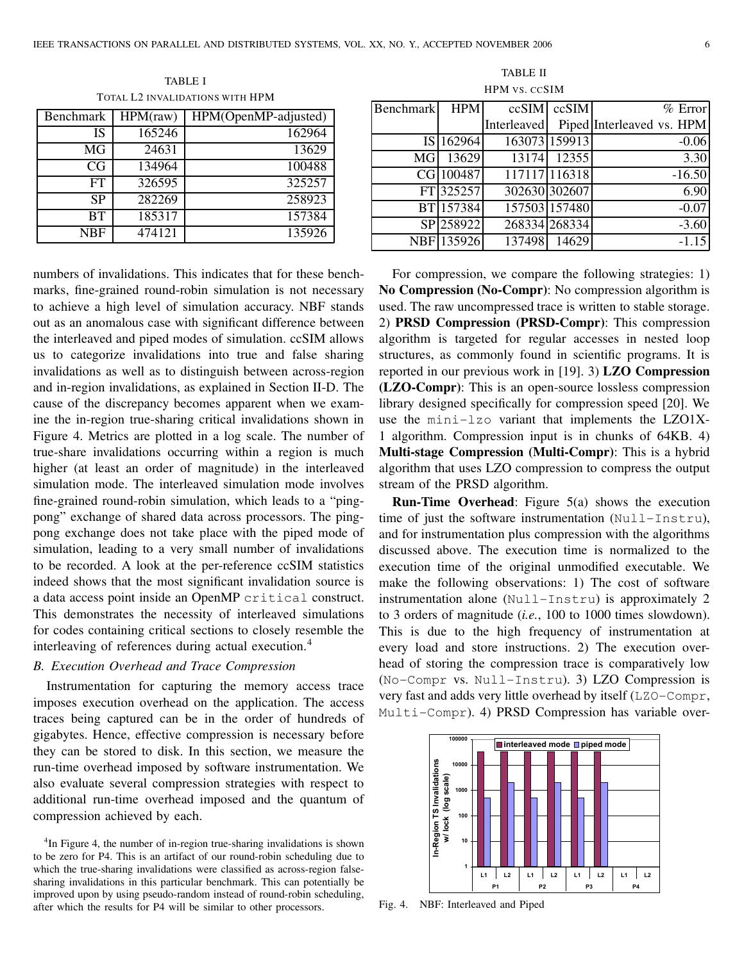| <b>Benchmark</b> | $HPM$ (raw) | HPM(OpenMP-adjusted) |  |  |  |  |  |  |  |
|------------------|-------------|----------------------|--|--|--|--|--|--|--|
| IS               | 165246      | 162964               |  |  |  |  |  |  |  |
| MG               | 24631       | 13629                |  |  |  |  |  |  |  |
| CG               | 134964      | 100488               |  |  |  |  |  |  |  |
| FT               | 326595      | 325257               |  |  |  |  |  |  |  |
| SP               | 282269      | 258923               |  |  |  |  |  |  |  |
| BТ               | 185317      | 157384               |  |  |  |  |  |  |  |
| <b>NBF</b>       | 474121      | 135926               |  |  |  |  |  |  |  |

TABLE I TOTAL L2 INVALIDATIONS WITH HPM

numbers of invalidations. This indicates that for these benchmarks, fine-grained round-robin simulation is not necessary to achieve a high level of simulation accuracy. NBF stands out as an anomalous case with significant difference between the interleaved and piped modes of simulation. ccSIM allows us to categorize invalidations into true and false sharing invalidations as well as to distinguish between across-region and in-region invalidations, as explained in Section II-D. The cause of the discrepancy becomes apparent when we examine the in-region true-sharing critical invalidations shown in Figure 4. Metrics are plotted in a log scale. The number of true-share invalidations occurring within a region is much higher (at least an order of magnitude) in the interleaved simulation mode. The interleaved simulation mode involves fine-grained round-robin simulation, which leads to a "pingpong" exchange of shared data across processors. The pingpong exchange does not take place with the piped mode of simulation, leading to a very small number of invalidations to be recorded. A look at the per-reference ccSIM statistics indeed shows that the most significant invalidation source is a data access point inside an OpenMP critical construct. This demonstrates the necessity of interleaved simulations for codes containing critical sections to closely resemble the interleaving of references during actual execution.<sup>4</sup>

## *B. Execution Overhead and Trace Compression*

Instrumentation for capturing the memory access trace imposes execution overhead on the application. The access traces being captured can be in the order of hundreds of gigabytes. Hence, effective compression is necessary before they can be stored to disk. In this section, we measure the run-time overhead imposed by software instrumentation. We also evaluate several compression strategies with respect to additional run-time overhead imposed and the quantum of compression achieved by each.

<sup>4</sup>In Figure 4, the number of in-region true-sharing invalidations is shown to be zero for P4. This is an artifact of our round-robin scheduling due to which the true-sharing invalidations were classified as across-region falsesharing invalidations in this particular benchmark. This can potentially be improved upon by using pseudo-random instead of round-robin scheduling, after which the results for P4 will be similar to other processors.

TABLE II

| HPM vs. ccSIM |  |  |
|---------------|--|--|
|               |  |  |

| Benchmark | <b>HPM</b>        |               | ccSIM ccSIM   | $%$ Error                 |
|-----------|-------------------|---------------|---------------|---------------------------|
|           |                   | Interleaved   |               | Piped Interleaved vs. HPM |
|           | IS 162964         |               | 163073 159913 | $-0.06$                   |
| <b>MG</b> | 13629             | 13174         | 12355         | 3.30                      |
|           | CG 100487         |               | 117117 116318 | $-16.50$                  |
|           | FT 325257         |               | 302630 302607 | 6.90                      |
|           | BT 157384         |               | 157503 157480 | $-0.07$                   |
|           | SP 258922         | 268334 268334 |               | $-3.60$                   |
|           | <b>NBF</b> 135926 | 137498        | 14629         | $-1.15$                   |

For compression, we compare the following strategies: 1) **No Compression (No-Compr)**: No compression algorithm is used. The raw uncompressed trace is written to stable storage. 2) **PRSD Compression (PRSD-Compr)**: This compression algorithm is targeted for regular accesses in nested loop structures, as commonly found in scientific programs. It is reported in our previous work in [19]. 3) **LZO Compression (LZO-Compr)**: This is an open-source lossless compression library designed specifically for compression speed [20]. We use the mini-lzo variant that implements the LZO1X-1 algorithm. Compression input is in chunks of 64KB. 4) **Multi-stage Compression (Multi-Compr)**: This is a hybrid algorithm that uses LZO compression to compress the output stream of the PRSD algorithm.

**Run-Time Overhead**: Figure 5(a) shows the execution time of just the software instrumentation (Null-Instru), and for instrumentation plus compression with the algorithms discussed above. The execution time is normalized to the execution time of the original unmodified executable. We make the following observations: 1) The cost of software instrumentation alone (Null-Instru) is approximately 2 to 3 orders of magnitude (*i.e.*, 100 to 1000 times slowdown). This is due to the high frequency of instrumentation at every load and store instructions. 2) The execution overhead of storing the compression trace is comparatively low (No-Compr vs. Null-Instru). 3) LZO Compression is very fast and adds very little overhead by itself (LZO-Compr, Multi-Compr). 4) PRSD Compression has variable over-



Fig. 4. NBF: Interleaved and Piped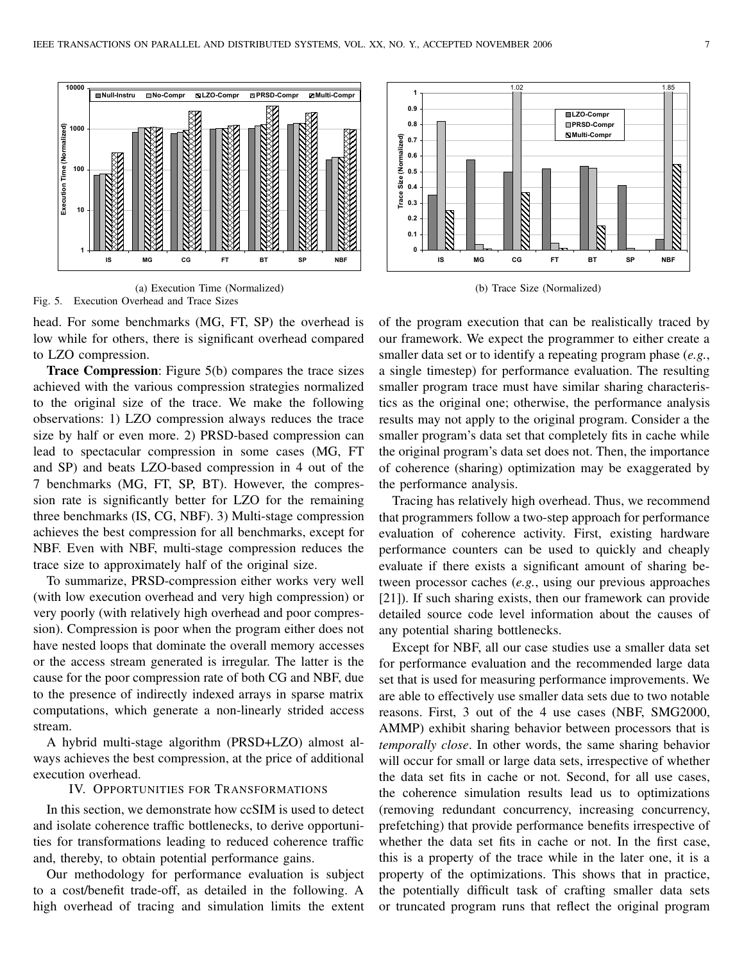



head. For some benchmarks (MG, FT, SP) the overhead is low while for others, there is significant overhead compared to LZO compression.

**Trace Compression**: Figure 5(b) compares the trace sizes achieved with the various compression strategies normalized to the original size of the trace. We make the following observations: 1) LZO compression always reduces the trace size by half or even more. 2) PRSD-based compression can lead to spectacular compression in some cases (MG, FT and SP) and beats LZO-based compression in 4 out of the 7 benchmarks (MG, FT, SP, BT). However, the compression rate is significantly better for LZO for the remaining three benchmarks (IS, CG, NBF). 3) Multi-stage compression achieves the best compression for all benchmarks, except for NBF. Even with NBF, multi-stage compression reduces the trace size to approximately half of the original size.

To summarize, PRSD-compression either works very well (with low execution overhead and very high compression) or very poorly (with relatively high overhead and poor compression). Compression is poor when the program either does not have nested loops that dominate the overall memory accesses or the access stream generated is irregular. The latter is the cause for the poor compression rate of both CG and NBF, due to the presence of indirectly indexed arrays in sparse matrix computations, which generate a non-linearly strided access stream.

A hybrid multi-stage algorithm (PRSD+LZO) almost always achieves the best compression, at the price of additional execution overhead.

## IV. OPPORTUNITIES FOR TRANSFORMATIONS

In this section, we demonstrate how ccSIM is used to detect and isolate coherence traffic bottlenecks, to derive opportunities for transformations leading to reduced coherence traffic and, thereby, to obtain potential performance gains.

Our methodology for performance evaluation is subject to a cost/benefit trade-off, as detailed in the following. A high overhead of tracing and simulation limits the extent



(b) Trace Size (Normalized)

of the program execution that can be realistically traced by our framework. We expect the programmer to either create a smaller data set or to identify a repeating program phase (*e.g.*, a single timestep) for performance evaluation. The resulting smaller program trace must have similar sharing characteristics as the original one; otherwise, the performance analysis results may not apply to the original program. Consider a the smaller program's data set that completely fits in cache while the original program's data set does not. Then, the importance of coherence (sharing) optimization may be exaggerated by the performance analysis.

Tracing has relatively high overhead. Thus, we recommend that programmers follow a two-step approach for performance evaluation of coherence activity. First, existing hardware performance counters can be used to quickly and cheaply evaluate if there exists a significant amount of sharing between processor caches (*e.g.*, using our previous approaches [21]). If such sharing exists, then our framework can provide detailed source code level information about the causes of any potential sharing bottlenecks.

Except for NBF, all our case studies use a smaller data set for performance evaluation and the recommended large data set that is used for measuring performance improvements. We are able to effectively use smaller data sets due to two notable reasons. First, 3 out of the 4 use cases (NBF, SMG2000, AMMP) exhibit sharing behavior between processors that is *temporally close*. In other words, the same sharing behavior will occur for small or large data sets, irrespective of whether the data set fits in cache or not. Second, for all use cases, the coherence simulation results lead us to optimizations (removing redundant concurrency, increasing concurrency, prefetching) that provide performance benefits irrespective of whether the data set fits in cache or not. In the first case, this is a property of the trace while in the later one, it is a property of the optimizations. This shows that in practice, the potentially difficult task of crafting smaller data sets or truncated program runs that reflect the original program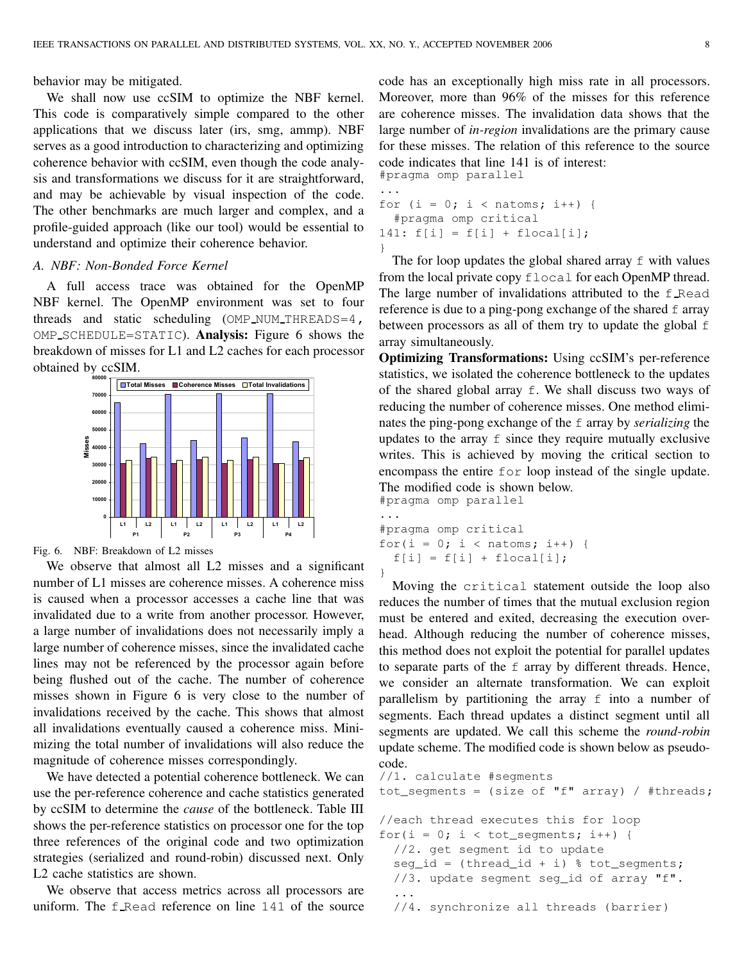behavior may be mitigated.

We shall now use ccSIM to optimize the NBF kernel. This code is comparatively simple compared to the other applications that we discuss later (irs, smg, ammp). NBF serves as a good introduction to characterizing and optimizing coherence behavior with ccSIM, even though the code analysis and transformations we discuss for it are straightforward, and may be achievable by visual inspection of the code. The other benchmarks are much larger and complex, and a profile-guided approach (like our tool) would be essential to understand and optimize their coherence behavior.

## *A. NBF: Non-Bonded Force Kernel*

A full access trace was obtained for the OpenMP NBF kernel. The OpenMP environment was set to four threads and static scheduling (OMP NUM THREADS=4, OMP SCHEDULE=STATIC). **Analysis:** Figure 6 shows the breakdown of misses for L1 and L2 caches for each processor obtained by ccSIM.



Fig. 6. NBF: Breakdown of L2 misses

We observe that almost all L2 misses and a significant number of L1 misses are coherence misses. A coherence miss is caused when a processor accesses a cache line that was invalidated due to a write from another processor. However, a large number of invalidations does not necessarily imply a large number of coherence misses, since the invalidated cache lines may not be referenced by the processor again before being flushed out of the cache. The number of coherence misses shown in Figure 6 is very close to the number of invalidations received by the cache. This shows that almost all invalidations eventually caused a coherence miss. Minimizing the total number of invalidations will also reduce the magnitude of coherence misses correspondingly.

We have detected a potential coherence bottleneck. We can use the per-reference coherence and cache statistics generated by ccSIM to determine the *cause* of the bottleneck. Table III shows the per-reference statistics on processor one for the top three references of the original code and two optimization strategies (serialized and round-robin) discussed next. Only L2 cache statistics are shown.

We observe that access metrics across all processors are uniform. The f Read reference on line 141 of the source code has an exceptionally high miss rate in all processors. Moreover, more than 96% of the misses for this reference are coherence misses. The invalidation data shows that the large number of *in-region* invalidations are the primary cause for these misses. The relation of this reference to the source code indicates that line 141 is of interest: #pragma omp parallel

```
...
for (i = 0; i < natoms; i++) {
  #pragma omp critical
141: f[i] = f[i] + flocal[i];}
```
The for loop updates the global shared array  $f$  with values from the local private copy flocal for each OpenMP thread. The large number of invalidations attributed to the f\_Read reference is due to a ping-pong exchange of the shared  $f$  array between processors as all of them try to update the global f array simultaneously.

**Optimizing Transformations:** Using ccSIM's per-reference statistics, we isolated the coherence bottleneck to the updates of the shared global array f. We shall discuss two ways of reducing the number of coherence misses. One method eliminates the ping-pong exchange of the f array by *serializing* the updates to the array  $f$  since they require mutually exclusive writes. This is achieved by moving the critical section to encompass the entire for loop instead of the single update. The modified code is shown below. #pragma omp parallel

```
...
#pragma omp critical
for(i = 0; i < natoms; i++) {
  f[i] = f[i] + flocal[i];}
```
Moving the critical statement outside the loop also reduces the number of times that the mutual exclusion region must be entered and exited, decreasing the execution overhead. Although reducing the number of coherence misses, this method does not exploit the potential for parallel updates to separate parts of the f array by different threads. Hence, we consider an alternate transformation. We can exploit parallelism by partitioning the array f into a number of segments. Each thread updates a distinct segment until all segments are updated. We call this scheme the *round-robin* update scheme. The modified code is shown below as pseudocode.

```
//1. calculate #segments
tot_segments = (size of "f" array) / #threads;
//each thread executes this for loop
for(i = 0; i < tot_segments; i++) {
  //2. get segment id to update
  seg_id = (thread_id + i) % tot_segments;
  //3. update segment seg_id of array "f".
  ...
  //4. synchronize all threads (barrier)
```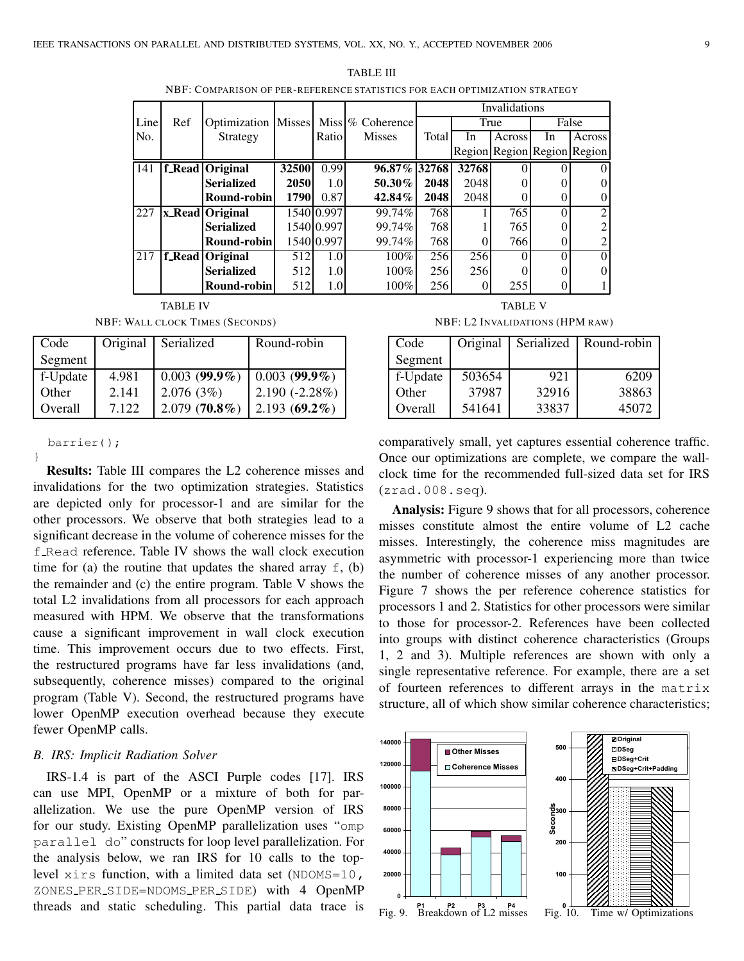|      |     |                   |       |            |                          |       |       | Invalidations |                             |                |
|------|-----|-------------------|-------|------------|--------------------------|-------|-------|---------------|-----------------------------|----------------|
| Line | Ref | Optimization      |       |            | Misses Miss \% Coherence |       |       | True          |                             | False          |
| No.  |     | Strategy          |       | Ratio      | <b>Misses</b>            | Total | 1n    | Across        | 1n                          | <b>Across</b>  |
|      |     |                   |       |            |                          |       |       |               | Region Region Region Region |                |
| 141  |     | f_Read Original   | 32500 | 0.99       | 96.87% 32768             |       | 32768 |               |                             | $\Omega$       |
|      |     | <b>Serialized</b> | 2050  | 1.0        | 50.30%                   | 2048  | 2048  |               |                             | $\Omega$       |
|      |     | Round-robin       | 1790  | 0.87       | 42.84%                   | 2048  | 2048  |               |                             | 0              |
| 227  |     | x Read Original   |       | 1540 0.997 | 99.74%                   | 768   |       | 765           |                             | 2              |
|      |     | <b>Serialized</b> |       | 1540 0.997 | 99.74%                   | 768   |       | 765           |                             | 2              |
|      |     | Round-robin       |       | 1540 0.997 | 99.74%                   | 768   |       | 766           |                             | 2              |
| 217  |     | f_Read Original   | 512   | 1.0        | $100\%$                  | 256   | 256   |               |                             | $\Omega$       |
|      |     | <b>Serialized</b> | 512   | 1.0        | 100%                     | 256   | 256   |               |                             | $\overline{0}$ |
|      |     | Round-robin       | 512   | 1.0        | 100%                     | 256   |       | 255           |                             |                |

TABLE III NBF: COMPARISON OF PER-REFERENCE STATISTICS FOR EACH OPTIMIZATION STRATEGY

|  |                 | ______ | . | ____ |  |
|--|-----------------|--------|---|------|--|
|  |                 |        |   |      |  |
|  | <b>TABLE IV</b> |        |   |      |  |

NBF: WALL CLOCK TIMES (SECONDS)

| Code     | Original | Serialized      | Round-robin     |
|----------|----------|-----------------|-----------------|
| Segment  |          |                 |                 |
| f-Update | 4.981    | $0.003(99.9\%)$ | $0.003(99.9\%)$ |
| Other    | 2.141    | 2.076(3%)       | $2.190(-2.28%)$ |
| Overall  | 7.122    | $2.079(70.8\%)$ | $2.193(69.2\%)$ |

barrier();

} **Results:** Table III compares the L2 coherence misses and invalidations for the two optimization strategies. Statistics are depicted only for processor-1 and are similar for the other processors. We observe that both strategies lead to a significant decrease in the volume of coherence misses for the f Read reference. Table IV shows the wall clock execution time for (a) the routine that updates the shared array  $f(x)$ , (b) the remainder and (c) the entire program. Table V shows the total L2 invalidations from all processors for each approach measured with HPM. We observe that the transformations cause a significant improvement in wall clock execution time. This improvement occurs due to two effects. First, the restructured programs have far less invalidations (and, subsequently, coherence misses) compared to the original program (Table V). Second, the restructured programs have lower OpenMP execution overhead because they execute fewer OpenMP calls.

### *B. IRS: Implicit Radiation Solver*

IRS-1.4 is part of the ASCI Purple codes [17]. IRS can use MPI, OpenMP or a mixture of both for parallelization. We use the pure OpenMP version of IRS for our study. Existing OpenMP parallelization uses "omp parallel do" constructs for loop level parallelization. For the analysis below, we ran IRS for 10 calls to the toplevel xirs function, with a limited data set (NDOMS=10, ZONES PER SIDE=NDOMS PER SIDE) with 4 OpenMP threads and static scheduling. This partial data trace is

TABLE V NBF: L2 INVALIDATIONS (HPM RAW)

| Code     | Original | Serialized | Round-robin |
|----------|----------|------------|-------------|
| Segment  |          |            |             |
| f-Update | 503654   | 921        | 6209        |
| Other    | 37987    | 32916      | 38863       |
| Overall  | 541641   | 33837      | 45072       |

comparatively small, yet captures essential coherence traffic. Once our optimizations are complete, we compare the wallclock time for the recommended full-sized data set for IRS (zrad.008.seq).

**Analysis:** Figure 9 shows that for all processors, coherence misses constitute almost the entire volume of L2 cache misses. Interestingly, the coherence miss magnitudes are asymmetric with processor-1 experiencing more than twice the number of coherence misses of any another processor. Figure 7 shows the per reference coherence statistics for processors 1 and 2. Statistics for other processors were similar to those for processor-2. References have been collected into groups with distinct coherence characteristics (Groups 1, 2 and 3). Multiple references are shown with only a single representative reference. For example, there are a set of fourteen references to different arrays in the matrix structure, all of which show similar coherence characteristics;

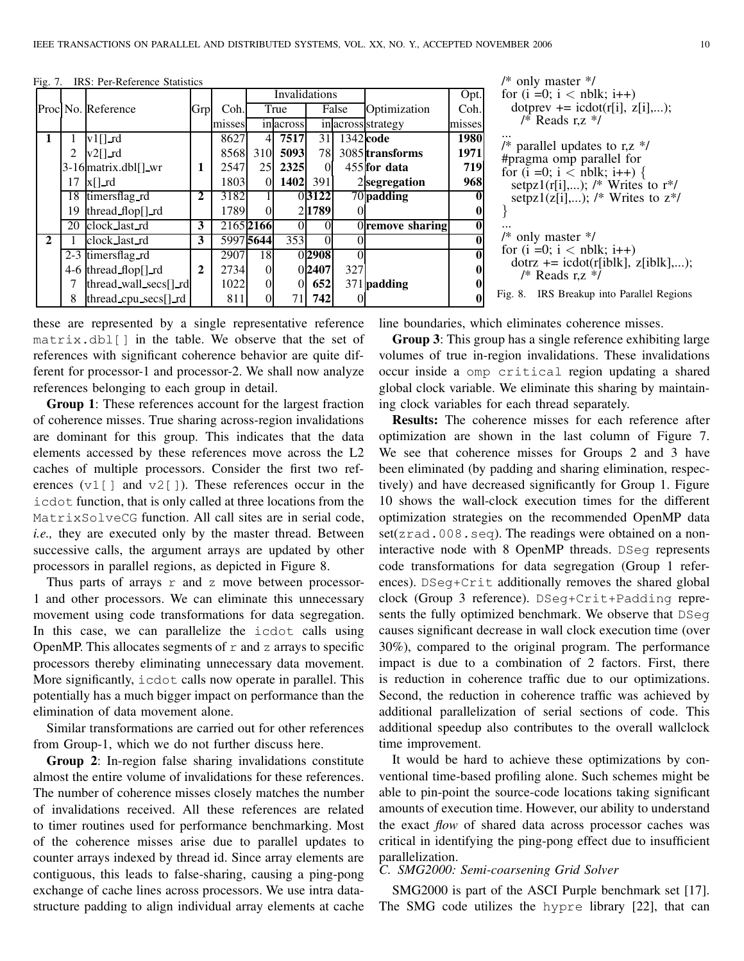|              | 115. <i>I</i> .<br>IRS. I CI-Reference Statistics |                            |              |        |                 |               |          |       |                    |              |
|--------------|---------------------------------------------------|----------------------------|--------------|--------|-----------------|---------------|----------|-------|--------------------|--------------|
|              |                                                   |                            |              |        |                 | Invalidations |          |       |                    | Opt.         |
|              |                                                   | Procl No. Reference        | Grp          | Coh.   |                 | True          |          | False | Optimization       | Coh.         |
|              |                                                   |                            |              | misses |                 | in across     |          |       | in across strategy | misses       |
| 1            |                                                   | $v1$ []_rd                 |              | 8627   | $\overline{4}$  | 7517          | 31       |       | 1342 code          | 1980         |
|              | $\overline{2}$                                    | $v2[1$ rd                  |              | 8568   | 310             | 5093          | 78       |       | 3085 transforms    | 1971         |
|              |                                                   | $3-16$ matrix.dbl[] wr     | 1            | 2547   | 25 <sup>I</sup> | 2325          | $\Omega$ |       | 455 for data       | 719          |
|              | 17                                                | $x[]$ rd                   |              | 1803   | 0               | 1402          | 391      |       | 2 segregation      | 968          |
|              | 18                                                | timersflag_rd              | $\mathbf{2}$ | 3182   |                 |               | 03122    |       | 70 padding         | 0            |
|              | 19                                                | thread_flop[]_rd           |              | 1789   | 0               |               | 2 1789   |       |                    | $\bf{0}$     |
|              | 20                                                | clock_last_rd              | 3            |        | 2165 2166       | $\theta$      |          |       | 0 remove sharing   | $\bf{0}$     |
| $\mathbf{2}$ |                                                   | clock_last_rd              | 3            |        | 5997 5644       | 353           |          |       |                    | $\mathbf{0}$ |
|              |                                                   | $2-3$ timersflag rd        |              | 2907   | 18              |               | 02908    |       |                    | 0            |
|              |                                                   | 4-6 thread flop[] rd       | 2            | 2734   | $\Omega$        |               | 02407    | 327   |                    | 0            |
|              |                                                   | thread_wall_secs[]_rd      |              | 1022   | 0               | 0             | 652      |       | 371 padding        | 0            |
|              | 8                                                 | $ $ thread cpu secs $ $ rd |              | 811    |                 |               | 742      |       |                    | 0            |

Fig. 7. IRS: Per-Reference Statistics

```
/* only master */
for (i = 0; i < \text{nb}lk; i++)dotprev += icdot(r[i], z[i],...);
    /* Reads r,z */...
/* parallel updates to r,z */#pragma omp parallel for
 for (i = 0; i < \text{nb}lk; i++) {
   setpz1(r[i],...); /* Writes to r*/setpz1(z[i],...); /* Writes to z^*/}
 ...
/* only master */
for (i = 0; i < \text{nb}lk; i++)dotz = icdot(r[iblk], z[iblk],...);
    /* Reads r,z */
Fig. 8. IRS Breakup into Parallel Regions
```
these are represented by a single representative reference matrix.dbl[] in the table. We observe that the set of references with significant coherence behavior are quite different for processor-1 and processor-2. We shall now analyze references belonging to each group in detail.

**Group 1**: These references account for the largest fraction of coherence misses. True sharing across-region invalidations are dominant for this group. This indicates that the data elements accessed by these references move across the L2 caches of multiple processors. Consider the first two references  $(v1[]$  and  $v2[]$ ). These references occur in the icdot function, that is only called at three locations from the MatrixSolveCG function. All call sites are in serial code, *i.e.,* they are executed only by the master thread. Between successive calls, the argument arrays are updated by other processors in parallel regions, as depicted in Figure 8.

Thus parts of arrays  $r$  and z move between processor-1 and other processors. We can eliminate this unnecessary movement using code transformations for data segregation. In this case, we can parallelize the icdot calls using OpenMP. This allocates segments of  $r$  and z arrays to specific processors thereby eliminating unnecessary data movement. More significantly, icdot calls now operate in parallel. This potentially has a much bigger impact on performance than the elimination of data movement alone.

Similar transformations are carried out for other references from Group-1, which we do not further discuss here.

**Group 2**: In-region false sharing invalidations constitute almost the entire volume of invalidations for these references. The number of coherence misses closely matches the number of invalidations received. All these references are related to timer routines used for performance benchmarking. Most of the coherence misses arise due to parallel updates to counter arrays indexed by thread id. Since array elements are contiguous, this leads to false-sharing, causing a ping-pong exchange of cache lines across processors. We use intra datastructure padding to align individual array elements at cache

line boundaries, which eliminates coherence misses.

**Group 3**: This group has a single reference exhibiting large volumes of true in-region invalidations. These invalidations occur inside a omp critical region updating a shared global clock variable. We eliminate this sharing by maintaining clock variables for each thread separately.

**Results:** The coherence misses for each reference after optimization are shown in the last column of Figure 7. We see that coherence misses for Groups 2 and 3 have been eliminated (by padding and sharing elimination, respectively) and have decreased significantly for Group 1. Figure 10 shows the wall-clock execution times for the different optimization strategies on the recommended OpenMP data set(zrad.008.seq). The readings were obtained on a noninteractive node with 8 OpenMP threads. DSeg represents code transformations for data segregation (Group 1 references). DSeg+Crit additionally removes the shared global clock (Group 3 reference). DSeg+Crit+Padding represents the fully optimized benchmark. We observe that DSeg causes significant decrease in wall clock execution time (over 30%), compared to the original program. The performance impact is due to a combination of 2 factors. First, there is reduction in coherence traffic due to our optimizations. Second, the reduction in coherence traffic was achieved by additional parallelization of serial sections of code. This additional speedup also contributes to the overall wallclock time improvement.

It would be hard to achieve these optimizations by conventional time-based profiling alone. Such schemes might be able to pin-point the source-code locations taking significant amounts of execution time. However, our ability to understand the exact *flow* of shared data across processor caches was critical in identifying the ping-pong effect due to insufficient parallelization.

## *C. SMG2000: Semi-coarsening Grid Solver*

SMG2000 is part of the ASCI Purple benchmark set [17]. The SMG code utilizes the hypre library [22], that can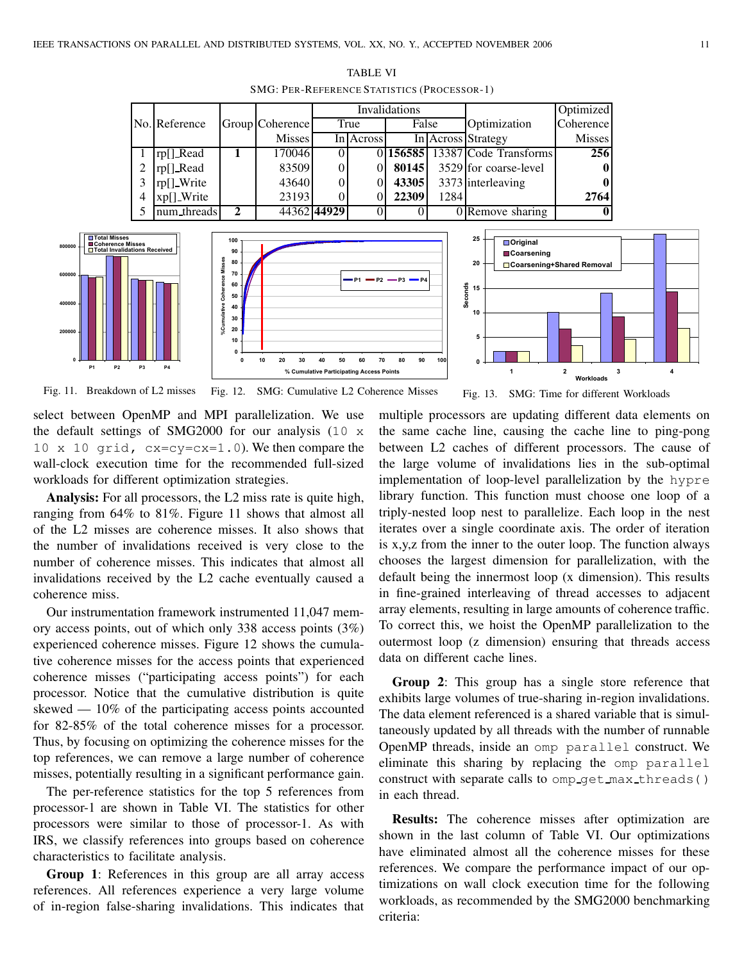|   |               |   |                 | Invalidations |           |       |      | Optimized                      |               |
|---|---------------|---|-----------------|---------------|-----------|-------|------|--------------------------------|---------------|
|   | No. Reference |   | Group Coherence |               | True      | False |      | Optimization                   | Coherence     |
|   |               |   | <b>Misses</b>   |               | In Across |       |      | In Across Strategy             | <b>Misses</b> |
|   | rp[]_Read     |   | 170046          | $\Omega$      |           |       |      | 0 156585 13387 Code Transforms | 256           |
| 2 | rp[] Read     |   | 83509           | $\Omega$      |           | 80145 |      | 3529 for coarse-level          | $\bf{0}$      |
|   | rp[]_Write    |   | 43640           |               |           | 43305 |      | 3373 interleaving              | 0             |
| 4 | xp[] Write    |   | 23193           |               |           | 22309 | 1284 |                                | 2764          |
|   | num_threads   | 2 | 44362 44929     |               |           |       |      | $0$ Remove sharing             | $\bf{0}$      |

TABLE VI SMG: PER-REFERENCE STATISTICS (PROCESSOR-1)



Fig. 11. Breakdown of L2 misses Fig. 12. SMG: Cumulative L2 Coherence Misses

Fig. 13. SMG: Time for different Workloads

select between OpenMP and MPI parallelization. We use the default settings of SMG2000 for our analysis (10 x 10 x 10 grid,  $cx = cy = cx = 1.0$ . We then compare the wall-clock execution time for the recommended full-sized workloads for different optimization strategies.

**Analysis:** For all processors, the L2 miss rate is quite high, ranging from 64% to 81%. Figure 11 shows that almost all of the L2 misses are coherence misses. It also shows that the number of invalidations received is very close to the number of coherence misses. This indicates that almost all invalidations received by the L2 cache eventually caused a coherence miss.

Our instrumentation framework instrumented 11,047 memory access points, out of which only 338 access points (3%) experienced coherence misses. Figure 12 shows the cumulative coherence misses for the access points that experienced coherence misses ("participating access points") for each processor. Notice that the cumulative distribution is quite skewed — 10% of the participating access points accounted for 82-85% of the total coherence misses for a processor. Thus, by focusing on optimizing the coherence misses for the top references, we can remove a large number of coherence misses, potentially resulting in a significant performance gain.

The per-reference statistics for the top 5 references from processor-1 are shown in Table VI. The statistics for other processors were similar to those of processor-1. As with IRS, we classify references into groups based on coherence characteristics to facilitate analysis.

**Group 1**: References in this group are all array access references. All references experience a very large volume of in-region false-sharing invalidations. This indicates that multiple processors are updating different data elements on the same cache line, causing the cache line to ping-pong between L2 caches of different processors. The cause of the large volume of invalidations lies in the sub-optimal implementation of loop-level parallelization by the hypre library function. This function must choose one loop of a triply-nested loop nest to parallelize. Each loop in the nest iterates over a single coordinate axis. The order of iteration is x,y,z from the inner to the outer loop. The function always chooses the largest dimension for parallelization, with the default being the innermost loop (x dimension). This results in fine-grained interleaving of thread accesses to adjacent array elements, resulting in large amounts of coherence traffic. To correct this, we hoist the OpenMP parallelization to the outermost loop (z dimension) ensuring that threads access data on different cache lines.

**Group 2**: This group has a single store reference that exhibits large volumes of true-sharing in-region invalidations. The data element referenced is a shared variable that is simultaneously updated by all threads with the number of runnable OpenMP threads, inside an omp parallel construct. We eliminate this sharing by replacing the omp parallel construct with separate calls to omp\_get\_max\_threads() in each thread.

**Results:** The coherence misses after optimization are shown in the last column of Table VI. Our optimizations have eliminated almost all the coherence misses for these references. We compare the performance impact of our optimizations on wall clock execution time for the following workloads, as recommended by the SMG2000 benchmarking criteria: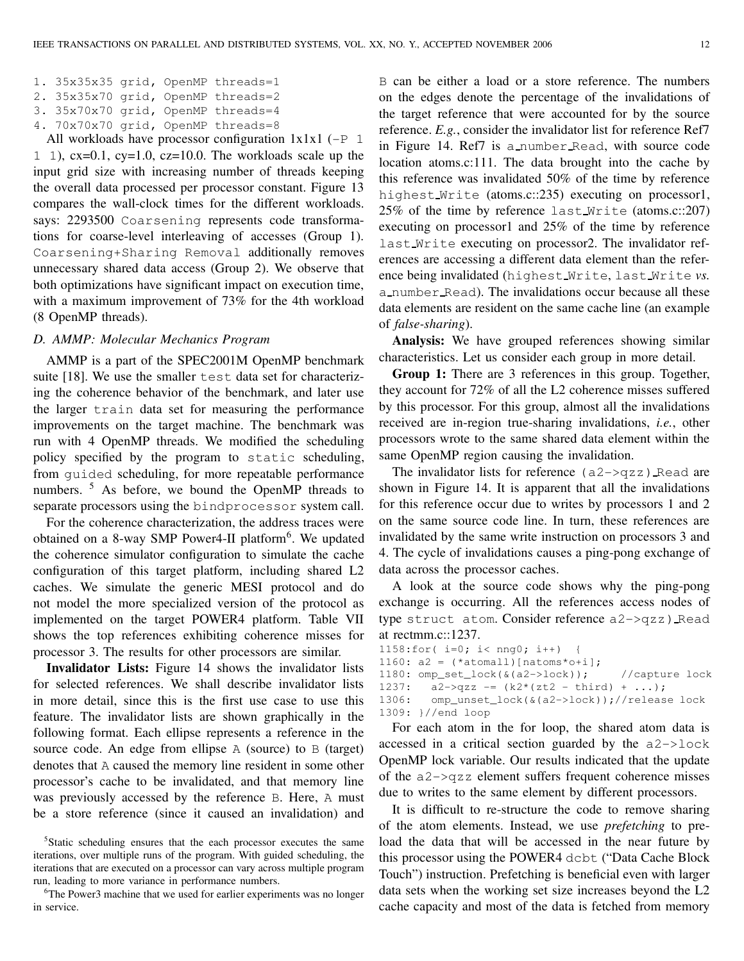```
1. 35x35x35 grid, OpenMP threads=1
2. 35x35x70 grid, OpenMP threads=2
3. 35x70x70 grid, OpenMP threads=4
4. 70x70x70 grid, OpenMP threads=8
```
All workloads have processor configuration  $1x1x1$  (-P 1 1 1),  $cx=0.1$ ,  $cy=1.0$ ,  $cz=10.0$ . The workloads scale up the input grid size with increasing number of threads keeping the overall data processed per processor constant. Figure 13 compares the wall-clock times for the different workloads. says: 2293500 Coarsening represents code transformations for coarse-level interleaving of accesses (Group 1). Coarsening+Sharing Removal additionally removes unnecessary shared data access (Group 2). We observe that both optimizations have significant impact on execution time, with a maximum improvement of 73% for the 4th workload (8 OpenMP threads).

## *D. AMMP: Molecular Mechanics Program*

AMMP is a part of the SPEC2001M OpenMP benchmark suite [18]. We use the smaller test data set for characterizing the coherence behavior of the benchmark, and later use the larger train data set for measuring the performance improvements on the target machine. The benchmark was run with 4 OpenMP threads. We modified the scheduling policy specified by the program to static scheduling, from guided scheduling, for more repeatable performance numbers.  $5$  As before, we bound the OpenMP threads to separate processors using the bindprocessor system call.

For the coherence characterization, the address traces were obtained on a 8-way SMP Power4-II platform<sup>6</sup>. We updated the coherence simulator configuration to simulate the cache configuration of this target platform, including shared L2 caches. We simulate the generic MESI protocol and do not model the more specialized version of the protocol as implemented on the target POWER4 platform. Table VII shows the top references exhibiting coherence misses for processor 3. The results for other processors are similar.

**Invalidator Lists:** Figure 14 shows the invalidator lists for selected references. We shall describe invalidator lists in more detail, since this is the first use case to use this feature. The invalidator lists are shown graphically in the following format. Each ellipse represents a reference in the source code. An edge from ellipse A (source) to B (target) denotes that A caused the memory line resident in some other processor's cache to be invalidated, and that memory line was previously accessed by the reference B. Here, A must be a store reference (since it caused an invalidation) and

<sup>5</sup>Static scheduling ensures that the each processor executes the same iterations, over multiple runs of the program. With guided scheduling, the iterations that are executed on a processor can vary across multiple program run, leading to more variance in performance numbers.

<sup>6</sup>The Power3 machine that we used for earlier experiments was no longer in service.

B can be either a load or a store reference. The numbers on the edges denote the percentage of the invalidations of the target reference that were accounted for by the source reference. *E.g.*, consider the invalidator list for reference Ref7 in Figure 14. Ref7 is a number Read, with source code location atoms.c:111. The data brought into the cache by this reference was invalidated 50% of the time by reference highest Write (atoms.c: 235) executing on processor1, 25% of the time by reference last Write (atoms.c::207) executing on processor1 and 25% of the time by reference last Write executing on processor2. The invalidator references are accessing a different data element than the reference being invalidated (highest Write, last Write *vs.* a number Read). The invalidations occur because all these data elements are resident on the same cache line (an example of *false-sharing*).

**Analysis:** We have grouped references showing similar characteristics. Let us consider each group in more detail.

**Group 1:** There are 3 references in this group. Together, they account for 72% of all the L2 coherence misses suffered by this processor. For this group, almost all the invalidations received are in-region true-sharing invalidations, *i.e.*, other processors wrote to the same shared data element within the same OpenMP region causing the invalidation.

The invalidator lists for reference  $(a2-\text{qzz})$  Read are shown in Figure 14. It is apparent that all the invalidations for this reference occur due to writes by processors 1 and 2 on the same source code line. In turn, these references are invalidated by the same write instruction on processors 3 and 4. The cycle of invalidations causes a ping-pong exchange of data across the processor caches.

A look at the source code shows why the ping-pong exchange is occurring. All the references access nodes of type struct atom. Consider reference a2->qzz) Read at rectmm.c::1237.

```
1158:for( i=0; i< nng0; i++) {
1160: a2 = (*atomall)[natoms*o+i];1180: omp_set_lock(&(a2->lock)); //capture lock
1237: a2->qzz = (k2*(zt2 - third) + ...);1306: omp_unset_lock(&(a2->lock));//release lock
1309: }//end loop
```
For each atom in the for loop, the shared atom data is accessed in a critical section guarded by the a2->lock OpenMP lock variable. Our results indicated that the update of the a2->qzz element suffers frequent coherence misses due to writes to the same element by different processors.

It is difficult to re-structure the code to remove sharing of the atom elements. Instead, we use *prefetching* to preload the data that will be accessed in the near future by this processor using the POWER4 dcbt ("Data Cache Block Touch") instruction. Prefetching is beneficial even with larger data sets when the working set size increases beyond the L2 cache capacity and most of the data is fetched from memory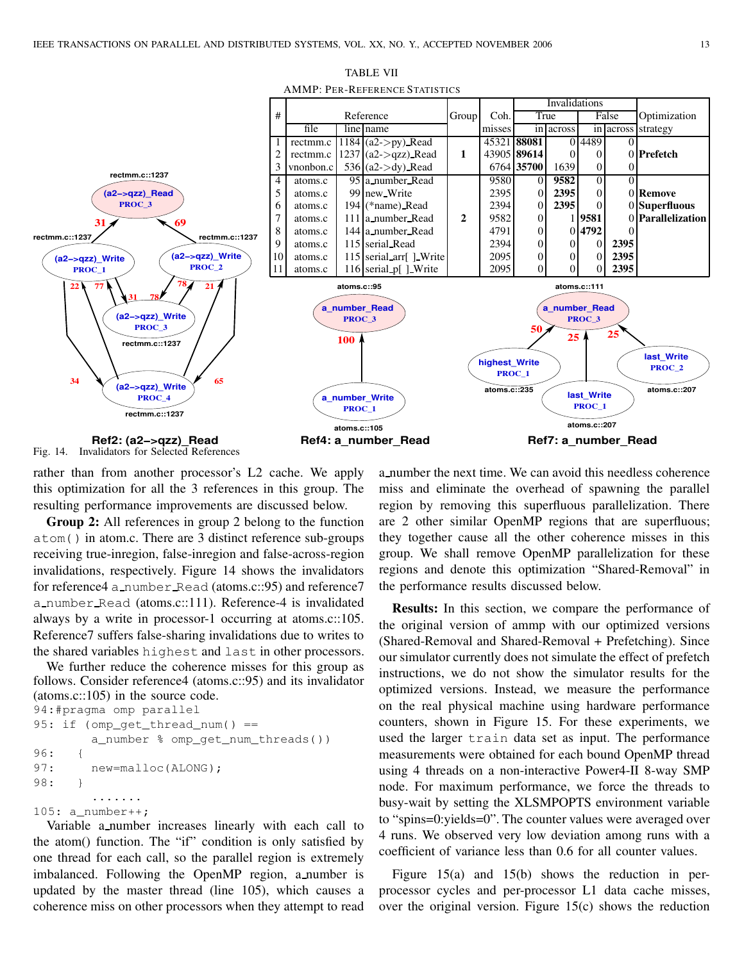

TABLE VII

Fig. 14. Invalidators for Selected References

rather than from another processor's L2 cache. We apply this optimization for all the 3 references in this group. The resulting performance improvements are discussed below.

**Group 2:** All references in group 2 belong to the function atom() in atom.c. There are 3 distinct reference sub-groups receiving true-inregion, false-inregion and false-across-region invalidations, respectively. Figure 14 shows the invalidators for reference4 a\_number\_Read (atoms.c::95) and reference7 a number Read (atoms.c::111). Reference-4 is invalidated always by a write in processor-1 occurring at atoms.c::105. Reference7 suffers false-sharing invalidations due to writes to the shared variables highest and last in other processors.

We further reduce the coherence misses for this group as follows. Consider reference4 (atoms.c::95) and its invalidator (atoms.c::105) in the source code.

```
94:#pragma omp parallel
95: if (omp_get_thread_num() ==
       a_number % omp_get_num_threads())
96: {
97: new=malloc(ALONG);
98: }
        .......
```

```
105: a_number++;
```
Variable a number increases linearly with each call to the atom() function. The "if" condition is only satisfied by one thread for each call, so the parallel region is extremely imbalanced. Following the OpenMP region, a number is updated by the master thread (line 105), which causes a coherence miss on other processors when they attempt to read a number the next time. We can avoid this needless coherence miss and eliminate the overhead of spawning the parallel region by removing this superfluous parallelization. There are 2 other similar OpenMP regions that are superfluous; they together cause all the other coherence misses in this group. We shall remove OpenMP parallelization for these regions and denote this optimization "Shared-Removal" in the performance results discussed below.

**Results:** In this section, we compare the performance of the original version of ammp with our optimized versions (Shared-Removal and Shared-Removal + Prefetching). Since our simulator currently does not simulate the effect of prefetch instructions, we do not show the simulator results for the optimized versions. Instead, we measure the performance on the real physical machine using hardware performance counters, shown in Figure 15. For these experiments, we used the larger train data set as input. The performance measurements were obtained for each bound OpenMP thread using 4 threads on a non-interactive Power4-II 8-way SMP node. For maximum performance, we force the threads to busy-wait by setting the XLSMPOPTS environment variable to "spins=0:yields=0". The counter values were averaged over 4 runs. We observed very low deviation among runs with a coefficient of variance less than 0.6 for all counter values.

Figure 15(a) and 15(b) shows the reduction in perprocessor cycles and per-processor L1 data cache misses, over the original version. Figure 15(c) shows the reduction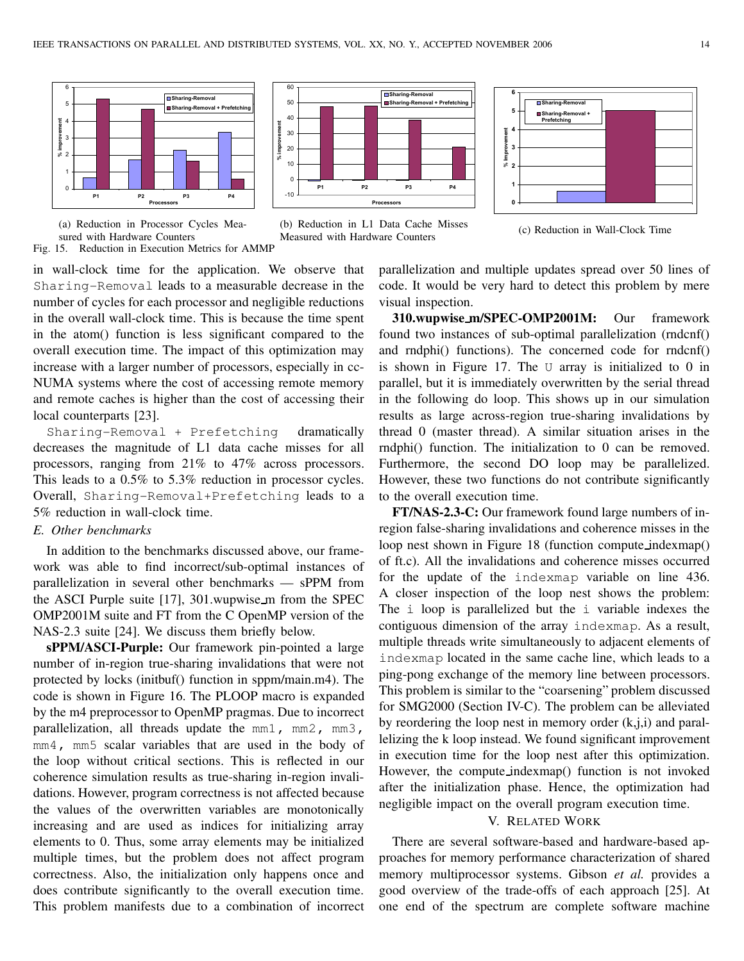

(a) Reduction in Processor Cycles Measured with Hardware Counters Fig. 15. Reduction in Execution Metrics for AMMP

in wall-clock time for the application. We observe that Sharing-Removal leads to a measurable decrease in the number of cycles for each processor and negligible reductions in the overall wall-clock time. This is because the time spent in the atom() function is less significant compared to the overall execution time. The impact of this optimization may increase with a larger number of processors, especially in cc-NUMA systems where the cost of accessing remote memory and remote caches is higher than the cost of accessing their local counterparts [23].

Sharing-Removal + Prefetching dramatically decreases the magnitude of L1 data cache misses for all processors, ranging from 21% to 47% across processors. This leads to a 0.5% to 5.3% reduction in processor cycles. Overall, Sharing-Removal+Prefetching leads to a 5% reduction in wall-clock time.

## *E. Other benchmarks*

In addition to the benchmarks discussed above, our framework was able to find incorrect/sub-optimal instances of parallelization in several other benchmarks — sPPM from the ASCI Purple suite [17], 301.wupwise m from the SPEC OMP2001M suite and FT from the C OpenMP version of the NAS-2.3 suite [24]. We discuss them briefly below.

**sPPM/ASCI-Purple:** Our framework pin-pointed a large number of in-region true-sharing invalidations that were not protected by locks (initbuf() function in sppm/main.m4). The code is shown in Figure 16. The PLOOP macro is expanded by the m4 preprocessor to OpenMP pragmas. Due to incorrect parallelization, all threads update the mm1, mm2, mm3, mm4, mm5 scalar variables that are used in the body of the loop without critical sections. This is reflected in our coherence simulation results as true-sharing in-region invalidations. However, program correctness is not affected because the values of the overwritten variables are monotonically increasing and are used as indices for initializing array elements to 0. Thus, some array elements may be initialized multiple times, but the problem does not affect program correctness. Also, the initialization only happens once and does contribute significantly to the overall execution time. This problem manifests due to a combination of incorrect



(b) Reduction in L1 Data Cache Misses Measured with Hardware Counters



(c) Reduction in Wall-Clock Time

parallelization and multiple updates spread over 50 lines of code. It would be very hard to detect this problem by mere visual inspection.

**310.wupwise m/SPEC-OMP2001M:** Our framework found two instances of sub-optimal parallelization (rndcnf() and rndphi() functions). The concerned code for rndcnf() is shown in Figure 17. The U array is initialized to 0 in parallel, but it is immediately overwritten by the serial thread in the following do loop. This shows up in our simulation results as large across-region true-sharing invalidations by thread 0 (master thread). A similar situation arises in the rndphi() function. The initialization to 0 can be removed. Furthermore, the second DO loop may be parallelized. However, these two functions do not contribute significantly to the overall execution time.

**FT/NAS-2.3-C:** Our framework found large numbers of inregion false-sharing invalidations and coherence misses in the loop nest shown in Figure 18 (function compute indexmap() of ft.c). All the invalidations and coherence misses occurred for the update of the indexmap variable on line 436. A closer inspection of the loop nest shows the problem: The i loop is parallelized but the i variable indexes the contiguous dimension of the array indexmap. As a result, multiple threads write simultaneously to adjacent elements of indexmap located in the same cache line, which leads to a ping-pong exchange of the memory line between processors. This problem is similar to the "coarsening" problem discussed for SMG2000 (Section IV-C). The problem can be alleviated by reordering the loop nest in memory order (k,j,i) and parallelizing the k loop instead. We found significant improvement in execution time for the loop nest after this optimization. However, the compute indexmap() function is not invoked after the initialization phase. Hence, the optimization had negligible impact on the overall program execution time.

# V. RELATED WORK

There are several software-based and hardware-based approaches for memory performance characterization of shared memory multiprocessor systems. Gibson *et al.* provides a good overview of the trade-offs of each approach [25]. At one end of the spectrum are complete software machine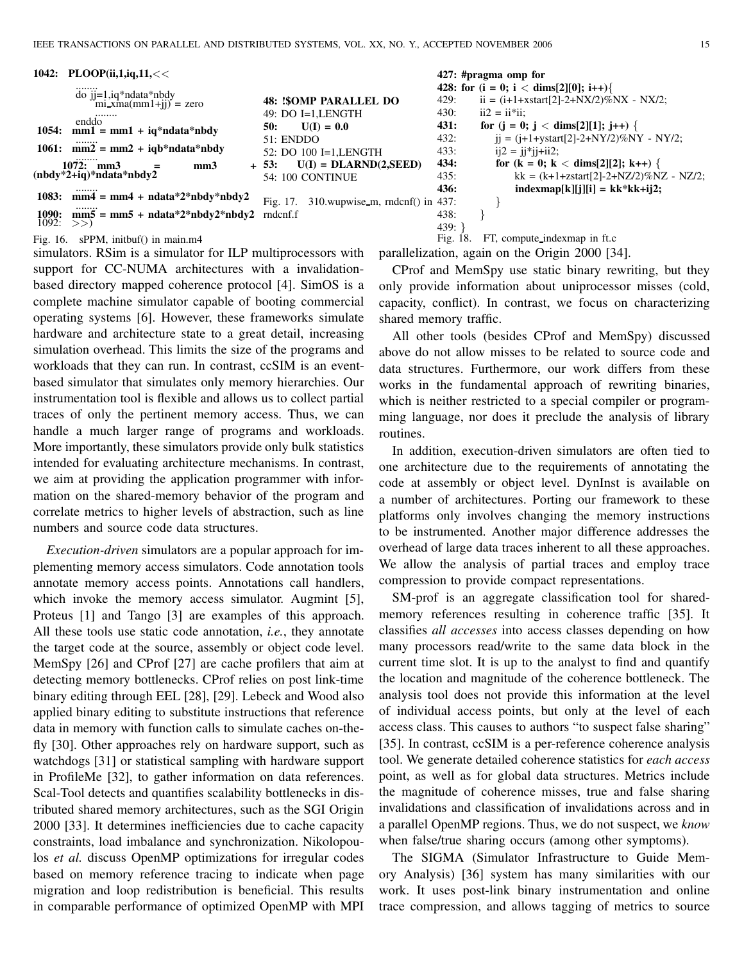|       | 1042: PLOOP(ii,1,ig,11,<<                      |                                                    |      | 427: #pragma omp for                      |
|-------|------------------------------------------------|----------------------------------------------------|------|-------------------------------------------|
|       |                                                |                                                    |      | 428: for $(i = 0; i < dims[2][0]; i++)$   |
|       | do jj=1,iq*ndata*nbdy<br>mi_xma(mm1+jj) = zero | 48: !SOMP PARALLEL DO                              | 429: | $ii = (i+1+xstart[2]-2+NX/2)\%NX - NX/2;$ |
|       | .                                              | 49: $DO I=1, LENGTH$                               | 430: | $ii2 = ii*ii$ :                           |
| 1054: | enddo<br>$mm1 = mm1 + iq^*ndata^*nbdy$         | 50:<br>$U(I) = 0.0$                                | 431: | for $(i = 0; j <$ dims[2][1]; j++) {      |
|       |                                                | 51: ENDDO                                          | 432: | $ii = (i+1+ystart[2]-2+NY/2)\%NY - NY/2;$ |
| 1061: | $mm2 = mm2 + iqb*ndata*nbdy$                   | 52: DO 100 I=1, LENGTH                             | 433: | $i = i * i + i2$ ;                        |
|       | .<br>1072: mm3<br>mm <sub>3</sub>              | $U(I) = DLARND(2, SEED)$<br>$+ 53:$                | 434: | for $(k = 0; k <$ dims[2][2]; k++) {      |
|       | $(nbdy*\tilde{2}+iq)*ndata*nbdy2$              | <b>54: 100 CONTINUE</b>                            | 435: | $kk = (k+1+zstart[2]-2+NZ/2)\%NZ - NZ/2;$ |
|       |                                                |                                                    | 436: | $indexmap[k][j][i] = kk*kk+ij2;$          |
| 1083: | $mm4 = mm4 + ndata*2*nbdy*ndy2$                | $310$ . wupwise_m, rndcnf $()$ in 437:<br>Fig. 17. |      |                                           |
| 1090: | $mm5 = mm5 + ndata*2*nbdy2*nbdy2$              | mdcnf.f                                            | 438: |                                           |
| 1092: | $>>$ )                                         |                                                    | 439: |                                           |

```
Fig. 16. sPPM, initbuf() in main.m4
```
simulators. RSim is a simulator for ILP multiprocessors with support for CC-NUMA architectures with a invalidationbased directory mapped coherence protocol [4]. SimOS is a complete machine simulator capable of booting commercial operating systems [6]. However, these frameworks simulate hardware and architecture state to a great detail, increasing simulation overhead. This limits the size of the programs and workloads that they can run. In contrast, ccSIM is an eventbased simulator that simulates only memory hierarchies. Our instrumentation tool is flexible and allows us to collect partial traces of only the pertinent memory access. Thus, we can handle a much larger range of programs and workloads. More importantly, these simulators provide only bulk statistics intended for evaluating architecture mechanisms. In contrast, we aim at providing the application programmer with information on the shared-memory behavior of the program and correlate metrics to higher levels of abstraction, such as line numbers and source code data structures.

*Execution-driven* simulators are a popular approach for implementing memory access simulators. Code annotation tools annotate memory access points. Annotations call handlers, which invoke the memory access simulator. Augmint [5], Proteus [1] and Tango [3] are examples of this approach. All these tools use static code annotation, *i.e.*, they annotate the target code at the source, assembly or object code level. MemSpy [26] and CProf [27] are cache profilers that aim at detecting memory bottlenecks. CProf relies on post link-time binary editing through EEL [28], [29]. Lebeck and Wood also applied binary editing to substitute instructions that reference data in memory with function calls to simulate caches on-thefly [30]. Other approaches rely on hardware support, such as watchdogs [31] or statistical sampling with hardware support in ProfileMe [32], to gather information on data references. Scal-Tool detects and quantifies scalability bottlenecks in distributed shared memory architectures, such as the SGI Origin 2000 [33]. It determines inefficiencies due to cache capacity constraints, load imbalance and synchronization. Nikolopoulos *et al.* discuss OpenMP optimizations for irregular codes based on memory reference tracing to indicate when page migration and loop redistribution is beneficial. This results in comparable performance of optimized OpenMP with MPI

Fig. 18. FT, compute indexmap in ft.c parallelization, again on the Origin 2000 [34].

CProf and MemSpy use static binary rewriting, but they only provide information about uniprocessor misses (cold, capacity, conflict). In contrast, we focus on characterizing shared memory traffic.

All other tools (besides CProf and MemSpy) discussed above do not allow misses to be related to source code and data structures. Furthermore, our work differs from these works in the fundamental approach of rewriting binaries, which is neither restricted to a special compiler or programming language, nor does it preclude the analysis of library routines.

In addition, execution-driven simulators are often tied to one architecture due to the requirements of annotating the code at assembly or object level. DynInst is available on a number of architectures. Porting our framework to these platforms only involves changing the memory instructions to be instrumented. Another major difference addresses the overhead of large data traces inherent to all these approaches. We allow the analysis of partial traces and employ trace compression to provide compact representations.

SM-prof is an aggregate classification tool for sharedmemory references resulting in coherence traffic [35]. It classifies *all accesses* into access classes depending on how many processors read/write to the same data block in the current time slot. It is up to the analyst to find and quantify the location and magnitude of the coherence bottleneck. The analysis tool does not provide this information at the level of individual access points, but only at the level of each access class. This causes to authors "to suspect false sharing" [35]. In contrast, ccSIM is a per-reference coherence analysis tool. We generate detailed coherence statistics for *each access* point, as well as for global data structures. Metrics include the magnitude of coherence misses, true and false sharing invalidations and classification of invalidations across and in a parallel OpenMP regions. Thus, we do not suspect, we *know* when false/true sharing occurs (among other symptoms).

The SIGMA (Simulator Infrastructure to Guide Memory Analysis) [36] system has many similarities with our work. It uses post-link binary instrumentation and online trace compression, and allows tagging of metrics to source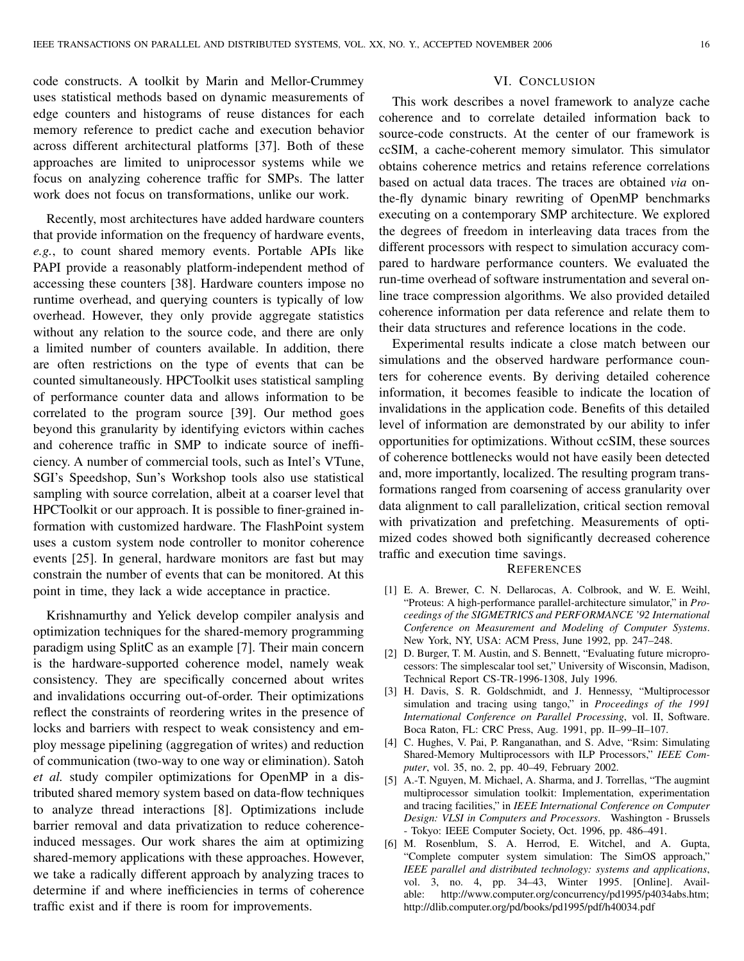code constructs. A toolkit by Marin and Mellor-Crummey uses statistical methods based on dynamic measurements of edge counters and histograms of reuse distances for each memory reference to predict cache and execution behavior across different architectural platforms [37]. Both of these approaches are limited to uniprocessor systems while we focus on analyzing coherence traffic for SMPs. The latter work does not focus on transformations, unlike our work.

Recently, most architectures have added hardware counters that provide information on the frequency of hardware events, *e.g.*, to count shared memory events. Portable APIs like PAPI provide a reasonably platform-independent method of accessing these counters [38]. Hardware counters impose no runtime overhead, and querying counters is typically of low overhead. However, they only provide aggregate statistics without any relation to the source code, and there are only a limited number of counters available. In addition, there are often restrictions on the type of events that can be counted simultaneously. HPCToolkit uses statistical sampling of performance counter data and allows information to be correlated to the program source [39]. Our method goes beyond this granularity by identifying evictors within caches and coherence traffic in SMP to indicate source of inefficiency. A number of commercial tools, such as Intel's VTune, SGI's Speedshop, Sun's Workshop tools also use statistical sampling with source correlation, albeit at a coarser level that HPCToolkit or our approach. It is possible to finer-grained information with customized hardware. The FlashPoint system uses a custom system node controller to monitor coherence events [25]. In general, hardware monitors are fast but may constrain the number of events that can be monitored. At this point in time, they lack a wide acceptance in practice.

Krishnamurthy and Yelick develop compiler analysis and optimization techniques for the shared-memory programming paradigm using SplitC as an example [7]. Their main concern is the hardware-supported coherence model, namely weak consistency. They are specifically concerned about writes and invalidations occurring out-of-order. Their optimizations reflect the constraints of reordering writes in the presence of locks and barriers with respect to weak consistency and employ message pipelining (aggregation of writes) and reduction of communication (two-way to one way or elimination). Satoh *et al.* study compiler optimizations for OpenMP in a distributed shared memory system based on data-flow techniques to analyze thread interactions [8]. Optimizations include barrier removal and data privatization to reduce coherenceinduced messages. Our work shares the aim at optimizing shared-memory applications with these approaches. However, we take a radically different approach by analyzing traces to determine if and where inefficiencies in terms of coherence traffic exist and if there is room for improvements.

## VI. CONCLUSION

This work describes a novel framework to analyze cache coherence and to correlate detailed information back to source-code constructs. At the center of our framework is ccSIM, a cache-coherent memory simulator. This simulator obtains coherence metrics and retains reference correlations based on actual data traces. The traces are obtained *via* onthe-fly dynamic binary rewriting of OpenMP benchmarks executing on a contemporary SMP architecture. We explored the degrees of freedom in interleaving data traces from the different processors with respect to simulation accuracy compared to hardware performance counters. We evaluated the run-time overhead of software instrumentation and several online trace compression algorithms. We also provided detailed coherence information per data reference and relate them to their data structures and reference locations in the code.

Experimental results indicate a close match between our simulations and the observed hardware performance counters for coherence events. By deriving detailed coherence information, it becomes feasible to indicate the location of invalidations in the application code. Benefits of this detailed level of information are demonstrated by our ability to infer opportunities for optimizations. Without ccSIM, these sources of coherence bottlenecks would not have easily been detected and, more importantly, localized. The resulting program transformations ranged from coarsening of access granularity over data alignment to call parallelization, critical section removal with privatization and prefetching. Measurements of optimized codes showed both significantly decreased coherence traffic and execution time savings.

### **REFERENCES**

- [1] E. A. Brewer, C. N. Dellarocas, A. Colbrook, and W. E. Weihl, "Proteus: A high-performance parallel-architecture simulator," in *Proceedings of the SIGMETRICS and PERFORMANCE '92 International Conference on Measurement and Modeling of Computer Systems*. New York, NY, USA: ACM Press, June 1992, pp. 247–248.
- [2] D. Burger, T. M. Austin, and S. Bennett, "Evaluating future microprocessors: The simplescalar tool set," University of Wisconsin, Madison, Technical Report CS-TR-1996-1308, July 1996.
- [3] H. Davis, S. R. Goldschmidt, and J. Hennessy, "Multiprocessor simulation and tracing using tango," in *Proceedings of the 1991 International Conference on Parallel Processing*, vol. II, Software. Boca Raton, FL: CRC Press, Aug. 1991, pp. II–99–II–107.
- [4] C. Hughes, V. Pai, P. Ranganathan, and S. Adve, "Rsim: Simulating Shared-Memory Multiprocessors with ILP Processors," *IEEE Computer*, vol. 35, no. 2, pp. 40–49, February 2002.
- [5] A.-T. Nguyen, M. Michael, A. Sharma, and J. Torrellas, "The augmint multiprocessor simulation toolkit: Implementation, experimentation and tracing facilities," in *IEEE International Conference on Computer Design: VLSI in Computers and Processors*. Washington - Brussels - Tokyo: IEEE Computer Society, Oct. 1996, pp. 486–491.
- [6] M. Rosenblum, S. A. Herrod, E. Witchel, and A. Gupta, "Complete computer system simulation: The SimOS approach," *IEEE parallel and distributed technology: systems and applications*, vol. 3, no. 4, pp. 34–43, Winter 1995. [Online]. Available: http://www.computer.org/concurrency/pd1995/p4034abs.htm; http://dlib.computer.org/pd/books/pd1995/pdf/h40034.pdf